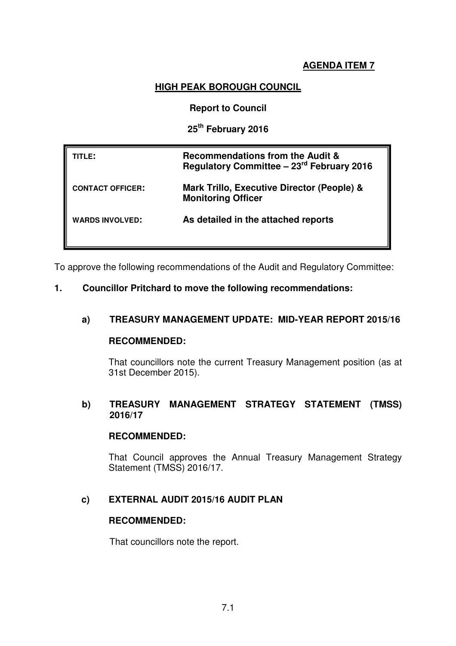#### **AGENDA ITEM 7**

### **HIGH PEAK BOROUGH COUNCIL**

#### **Report to Council**

#### **25th February 2016**

| TITLE:                  | <b>Recommendations from the Audit &amp;</b><br>Regulatory Committee - 23 <sup>rd</sup> February 2016 |
|-------------------------|------------------------------------------------------------------------------------------------------|
| <b>CONTACT OFFICER:</b> | Mark Trillo, Executive Director (People) &<br><b>Monitoring Officer</b>                              |
| <b>WARDS INVOLVED:</b>  | As detailed in the attached reports                                                                  |

To approve the following recommendations of the Audit and Regulatory Committee:

#### **1. Councillor Pritchard to move the following recommendations:**

### **a) TREASURY MANAGEMENT UPDATE: MID-YEAR REPORT 2015/16**

#### **RECOMMENDED:**

That councillors note the current Treasury Management position (as at 31st December 2015).

### **b) TREASURY MANAGEMENT STRATEGY STATEMENT (TMSS) 2016/17**

#### **RECOMMENDED:**

That Council approves the Annual Treasury Management Strategy Statement (TMSS) 2016/17.

### **c) EXTERNAL AUDIT 2015/16 AUDIT PLAN**

#### **RECOMMENDED:**

That councillors note the report.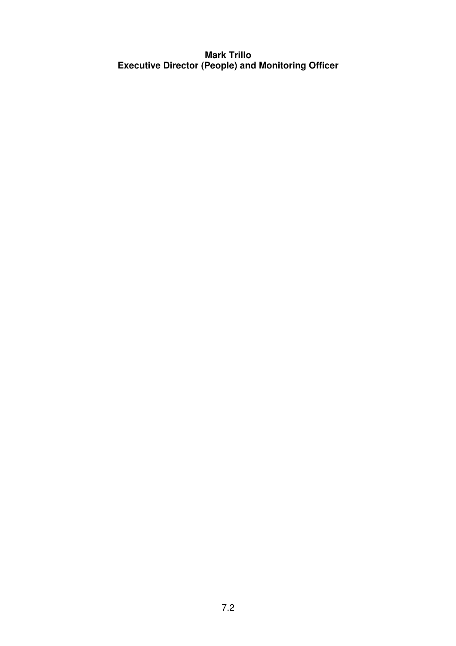# **Mark Trillo Executive Director (People) and Monitoring Officer**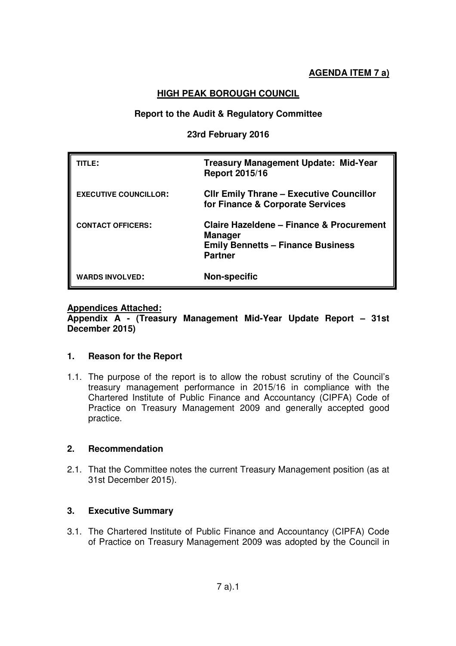## **HIGH PEAK BOROUGH COUNCIL**

#### **Report to the Audit & Regulatory Committee**

#### **23rd February 2016**

| TITLE:                       | <b>Treasury Management Update: Mid-Year</b><br><b>Report 2015/16</b>                                                                |
|------------------------------|-------------------------------------------------------------------------------------------------------------------------------------|
| <b>EXECUTIVE COUNCILLOR:</b> | <b>CIIr Emily Thrane - Executive Councillor</b><br>for Finance & Corporate Services                                                 |
| <b>CONTACT OFFICERS:</b>     | <b>Claire Hazeldene - Finance &amp; Procurement</b><br><b>Manager</b><br><b>Emily Bennetts - Finance Business</b><br><b>Partner</b> |
| <b>WARDS INVOLVED:</b>       | <b>Non-specific</b>                                                                                                                 |

#### **Appendices Attached:**

**Appendix A - (Treasury Management Mid-Year Update Report – 31st December 2015)** 

#### **1. Reason for the Report**

1.1. The purpose of the report is to allow the robust scrutiny of the Council's treasury management performance in 2015/16 in compliance with the Chartered Institute of Public Finance and Accountancy (CIPFA) Code of Practice on Treasury Management 2009 and generally accepted good practice.

### **2. Recommendation**

2.1. That the Committee notes the current Treasury Management position (as at 31st December 2015).

### **3. Executive Summary**

3.1. The Chartered Institute of Public Finance and Accountancy (CIPFA) Code of Practice on Treasury Management 2009 was adopted by the Council in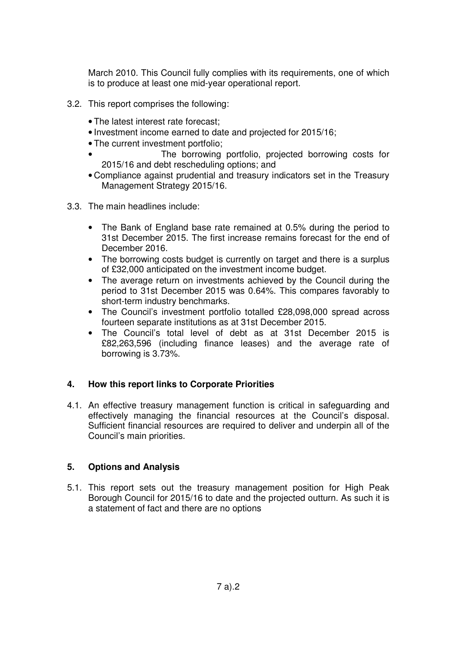March 2010. This Council fully complies with its requirements, one of which is to produce at least one mid-year operational report.

- 3.2. This report comprises the following:
	- The latest interest rate forecast;
	- Investment income earned to date and projected for 2015/16;
	- The current investment portfolio;
	- The borrowing portfolio, projected borrowing costs for 2015/16 and debt rescheduling options; and
	- Compliance against prudential and treasury indicators set in the Treasury Management Strategy 2015/16.
- 3.3. The main headlines include:
	- The Bank of England base rate remained at 0.5% during the period to 31st December 2015. The first increase remains forecast for the end of December 2016.
	- The borrowing costs budget is currently on target and there is a surplus of £32,000 anticipated on the investment income budget.
	- The average return on investments achieved by the Council during the period to 31st December 2015 was 0.64%. This compares favorably to short-term industry benchmarks.
	- The Council's investment portfolio totalled £28,098,000 spread across fourteen separate institutions as at 31st December 2015.
	- The Council's total level of debt as at 31st December 2015 is £82,263,596 (including finance leases) and the average rate of borrowing is 3.73%.

### **4. How this report links to Corporate Priorities**

4.1. An effective treasury management function is critical in safeguarding and effectively managing the financial resources at the Council's disposal. Sufficient financial resources are required to deliver and underpin all of the Council's main priorities.

#### **5. Options and Analysis**

5.1. This report sets out the treasury management position for High Peak Borough Council for 2015/16 to date and the projected outturn. As such it is a statement of fact and there are no options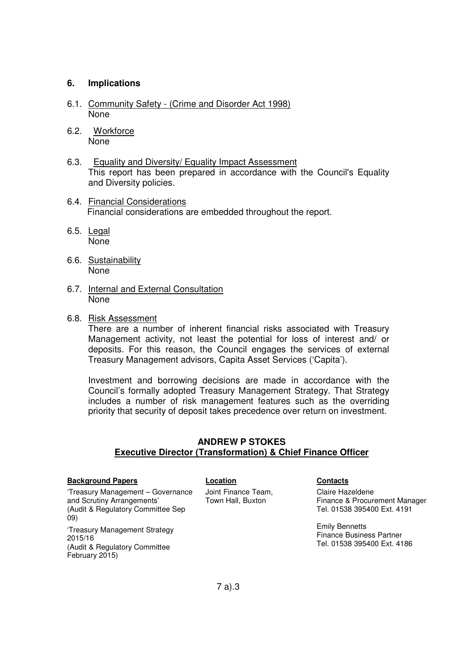#### **6. Implications**

- 6.1. Community Safety (Crime and Disorder Act 1998) None
- 6.2. Workforce None
- 6.3. Equality and Diversity/ Equality Impact Assessment This report has been prepared in accordance with the Council's Equality and Diversity policies.
- 6.4. Financial Considerations Financial considerations are embedded throughout the report.
- 6.5. Legal None
- 6.6. Sustainability None
- 6.7. Internal and External Consultation None
- 6.8. Risk Assessment

There are a number of inherent financial risks associated with Treasury Management activity, not least the potential for loss of interest and/ or deposits. For this reason, the Council engages the services of external Treasury Management advisors, Capita Asset Services ('Capita').

Investment and borrowing decisions are made in accordance with the Council's formally adopted Treasury Management Strategy. That Strategy includes a number of risk management features such as the overriding priority that security of deposit takes precedence over return on investment.

#### **ANDREW P STOKES Executive Director (Transformation) & Chief Finance Officer**

#### **Background Papers Location Contacts**

'Treasury Management – Governance and Scrutiny Arrangements' (Audit & Regulatory Committee Sep 09) 'Treasury Management Strategy

2015/16 (Audit & Regulatory Committee February 2015)

Joint Finance Team, Town Hall, Buxton

Claire Hazeldene Finance & Procurement Manager Tel. 01538 395400 Ext. 4191

Emily Bennetts Finance Business Partner Tel. 01538 395400 Ext. 4186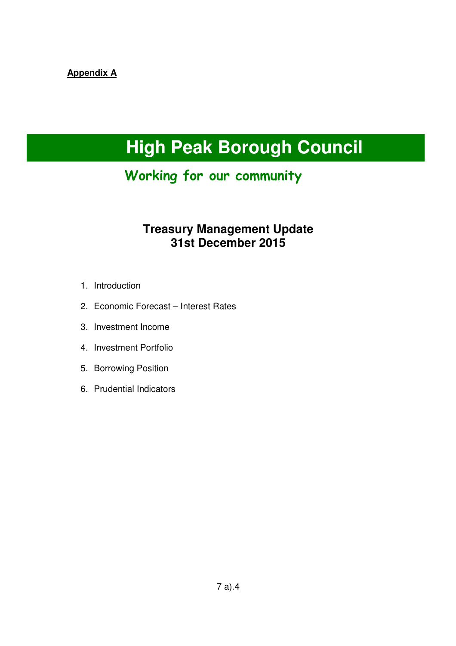# **Appendix A**

# **High Peak Borough Council**

# Working for our community

# **Treasury Management Update 31st December 2015**

- 1. Introduction
- 2. Economic Forecast Interest Rates
- 3. Investment Income
- 4. Investment Portfolio
- 5. Borrowing Position
- 6. Prudential Indicators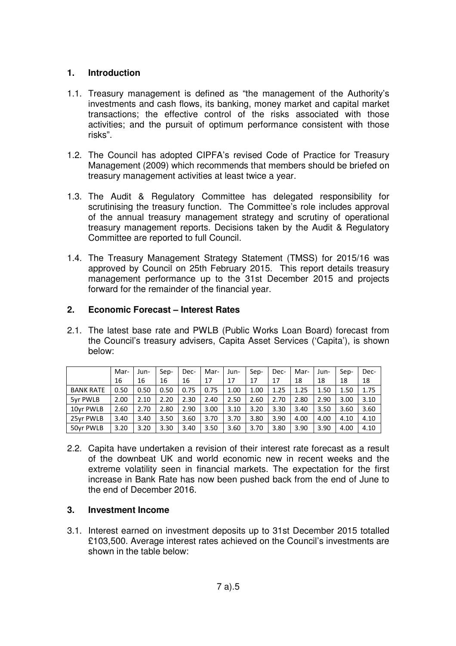#### **1. Introduction**

- 1.1. Treasury management is defined as "the management of the Authority's investments and cash flows, its banking, money market and capital market transactions; the effective control of the risks associated with those activities; and the pursuit of optimum performance consistent with those risks".
- 1.2. The Council has adopted CIPFA's revised Code of Practice for Treasury Management (2009) which recommends that members should be briefed on treasury management activities at least twice a year.
- 1.3. The Audit & Regulatory Committee has delegated responsibility for scrutinising the treasury function. The Committee's role includes approval of the annual treasury management strategy and scrutiny of operational treasury management reports. Decisions taken by the Audit & Regulatory Committee are reported to full Council.
- 1.4. The Treasury Management Strategy Statement (TMSS) for 2015/16 was approved by Council on 25th February 2015. This report details treasury management performance up to the 31st December 2015 and projects forward for the remainder of the financial year.

#### **2. Economic Forecast – Interest Rates**

2.1. The latest base rate and PWLB (Public Works Loan Board) forecast from the Council's treasury advisers, Capita Asset Services ('Capita'), is shown below:

|                  | Mar- | Jun- | Sep- | Dec- | Mar- | Jun- | Sep- | Dec- | Mar- | Jun- | Sep- | Dec- |
|------------------|------|------|------|------|------|------|------|------|------|------|------|------|
|                  | 16   | 16   | 16   | 16   | 17   | 17   | 17   | 17   | 18   | 18   | 18   | 18   |
| <b>BANK RATE</b> | 0.50 | 0.50 | 0.50 | 0.75 | 0.75 | 1.00 | 1.00 | 1.25 | 1.25 | 1.50 | 1.50 | 1.75 |
| 5yr PWLB         | 2.00 | 2.10 | 2.20 | 2.30 | 2.40 | 2.50 | 2.60 | 2.70 | 2.80 | 2.90 | 3.00 | 3.10 |
| 10yr PWLB        | 2.60 | 2.70 | 2.80 | 2.90 | 3.00 | 3.10 | 3.20 | 3.30 | 3.40 | 3.50 | 3.60 | 3.60 |
| 25yr PWLB        | 3.40 | 3.40 | 3.50 | 3.60 | 3.70 | 3.70 | 3.80 | 3.90 | 4.00 | 4.00 | 4.10 | 4.10 |
| 50yr PWLB        | 3.20 | 3.20 | 3.30 | 3.40 | 3.50 | 3.60 | 3.70 | 3.80 | 3.90 | 3.90 | 4.00 | 4.10 |

2.2. Capita have undertaken a revision of their interest rate forecast as a result of the downbeat UK and world economic new in recent weeks and the extreme volatility seen in financial markets. The expectation for the first increase in Bank Rate has now been pushed back from the end of June to the end of December 2016.

#### **3. Investment Income**

3.1. Interest earned on investment deposits up to 31st December 2015 totalled £103,500. Average interest rates achieved on the Council's investments are shown in the table below: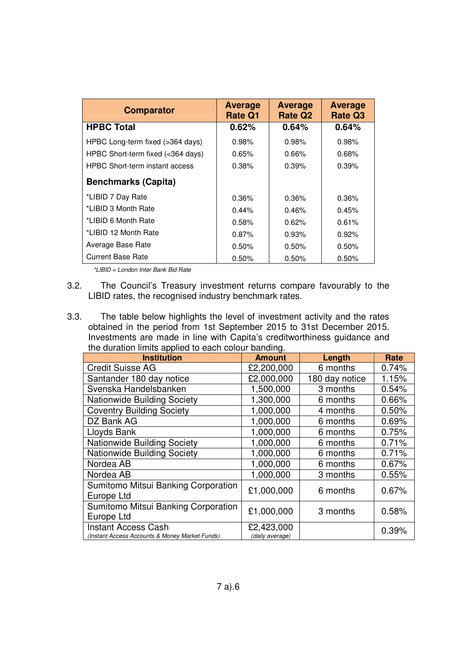| <b>Comparator</b>                     | <b>Average</b><br><b>Rate Q1</b> | <b>Average</b><br><b>Rate Q2</b> | <b>Average</b><br><b>Rate Q3</b> |
|---------------------------------------|----------------------------------|----------------------------------|----------------------------------|
| <b>HPBC Total</b>                     | 0.62%                            | 0.64%                            | 0.64%                            |
| HPBC Long-term fixed (>364 days)      | 0.98%                            | 0.98%                            | 0.98%                            |
| HPBC Short-term fixed (<364 days)     | 0.65%                            | 0.66%                            | 0.68%                            |
| <b>HPBC Short-term instant access</b> | 0.38%                            | 0.39%                            | 0.39%                            |
| <b>Benchmarks (Capita)</b>            |                                  |                                  |                                  |
| *LIBID 7 Day Rate                     | 0.36%                            | 0.36%                            | 0.36%                            |
| *LIBID 3 Month Rate                   | 0.44%                            | 0.46%                            | 0.45%                            |
| *LIBID 6 Month Rate                   | 0.58%                            | 0.62%                            | 0.61%                            |
| *LIBID 12 Month Rate                  | 0.87%                            | 0.93%                            | 0.92%                            |
| Average Base Rate                     | 0.50%                            | 0.50%                            | 0.50%                            |
| <b>Current Base Rate</b>              | 0.50%                            | 0.50%                            | 0.50%                            |

\*LIBID = London Inter Bank Bid Rate

- 3.2. The Council's Treasury investment returns compare favourably to the LIBID rates, the recognised industry benchmark rates.
- 3.3. The table below highlights the level of investment activity and the rates obtained in the period from 1st September 2015 to 31st December 2015. Investments are made in line with Capita's creditworthiness guidance and the duration limits applied to each colour banding.

| <b>Institution</b>                                                           | <b>Amount</b>                 | Length         | Rate  |
|------------------------------------------------------------------------------|-------------------------------|----------------|-------|
| <b>Credit Suisse AG</b>                                                      | £2,200,000                    | 6 months       | 0.74% |
| Santander 180 day notice                                                     | £2,000,000                    | 180 day notice | 1.15% |
| Svenska Handelsbanken                                                        | 1,500,000                     | 3 months       | 0.54% |
| Nationwide Building Society                                                  | 1,300,000                     | 6 months       | 0.66% |
| <b>Coventry Building Society</b>                                             | 1,000,000                     | 4 months       | 0.50% |
| DZ Bank AG                                                                   | 1,000,000                     | 6 months       | 0.69% |
| Lloyds Bank                                                                  | 1,000,000                     | 6 months       | 0.75% |
| <b>Nationwide Building Society</b>                                           | 1,000,000                     | 6 months       | 0.71% |
| Nationwide Building Society                                                  | 1,000,000                     | 6 months       | 0.71% |
| Nordea AB                                                                    | 1,000,000                     | 6 months       | 0.67% |
| Nordea AB                                                                    | 1,000,000                     | 3 months       | 0.55% |
| Sumitomo Mitsui Banking Corporation<br>Europe Ltd                            | £1,000,000                    | 6 months       | 0.67% |
| Sumitomo Mitsui Banking Corporation<br>Europe Ltd                            | £1,000,000                    | 3 months       | 0.58% |
| <b>Instant Access Cash</b><br>(Instant Access Accounts & Money Market Funds) | £2,423,000<br>(daily average) |                | 0.39% |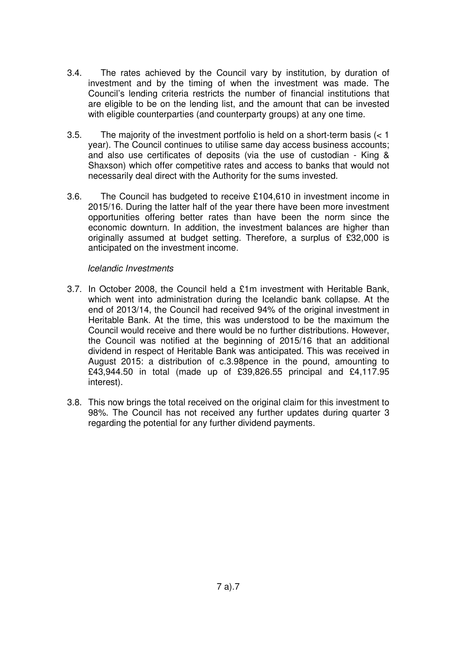- 3.4. The rates achieved by the Council vary by institution, by duration of investment and by the timing of when the investment was made. The Council's lending criteria restricts the number of financial institutions that are eligible to be on the lending list, and the amount that can be invested with eligible counterparties (and counterparty groups) at any one time.
- 3.5. The majority of the investment portfolio is held on a short-term basis (< 1 year). The Council continues to utilise same day access business accounts; and also use certificates of deposits (via the use of custodian - King & Shaxson) which offer competitive rates and access to banks that would not necessarily deal direct with the Authority for the sums invested.
- 3.6. The Council has budgeted to receive £104,610 in investment income in 2015/16. During the latter half of the year there have been more investment opportunities offering better rates than have been the norm since the economic downturn. In addition, the investment balances are higher than originally assumed at budget setting. Therefore, a surplus of £32,000 is anticipated on the investment income.

#### Icelandic Investments

- 3.7. In October 2008, the Council held a £1m investment with Heritable Bank, which went into administration during the Icelandic bank collapse. At the end of 2013/14, the Council had received 94% of the original investment in Heritable Bank. At the time, this was understood to be the maximum the Council would receive and there would be no further distributions. However, the Council was notified at the beginning of 2015/16 that an additional dividend in respect of Heritable Bank was anticipated. This was received in August 2015: a distribution of c.3.98pence in the pound, amounting to £43,944.50 in total (made up of £39,826.55 principal and £4,117.95 interest).
- 3.8. This now brings the total received on the original claim for this investment to 98%. The Council has not received any further updates during quarter 3 regarding the potential for any further dividend payments.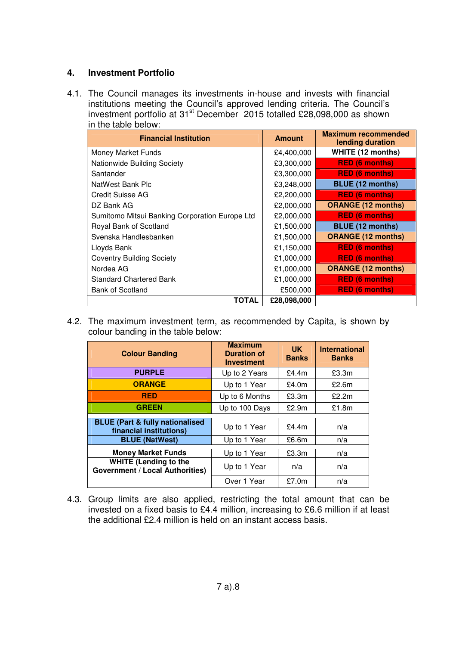#### **4. Investment Portfolio**

4.1. The Council manages its investments in-house and invests with financial institutions meeting the Council's approved lending criteria. The Council's investment portfolio at 31<sup>st</sup> December 2015 totalled £28,098,000 as shown in the table below:

| <b>Financial Institution</b>                   | <b>Amount</b> | <b>Maximum recommended</b><br>lending duration |
|------------------------------------------------|---------------|------------------------------------------------|
| Money Market Funds                             | £4,400,000    | WHITE (12 months)                              |
| Nationwide Building Society                    | £3,300,000    | <b>RED (6 months)</b>                          |
| Santander                                      | £3,300,000    | <b>RED (6 months)</b>                          |
| NatWest Bank Plc                               | £3,248,000    | <b>BLUE (12 months)</b>                        |
| Credit Suisse AG                               | £2,200,000    | <b>RED (6 months)</b>                          |
| DZ Bank AG                                     | £2,000,000    | <b>ORANGE (12 months)</b>                      |
| Sumitomo Mitsui Banking Corporation Europe Ltd | £2,000,000    | <b>RED (6 months)</b>                          |
| Royal Bank of Scotland                         | £1,500,000    | <b>BLUE (12 months)</b>                        |
| Svenska Handlesbanken                          | £1,500,000    | <b>ORANGE (12 months)</b>                      |
| Lloyds Bank                                    | £1,150,000    | <b>RED (6 months)</b>                          |
| <b>Coventry Building Society</b>               | £1,000,000    | <b>RED (6 months)</b>                          |
| Nordea AG                                      | £1,000,000    | <b>ORANGE (12 months)</b>                      |
| <b>Standard Chartered Bank</b>                 | £1,000,000    | <b>RED (6 months)</b>                          |
| <b>Bank of Scotland</b>                        | £500,000      | <b>RED (6 months)</b>                          |
| <b>TOTAL</b>                                   | £28,098,000   |                                                |

4.2. The maximum investment term, as recommended by Capita, is shown by colour banding in the table below:

| <b>Colour Banding</b>                                                  | <b>Maximum</b><br><b>Duration of</b><br><b>Investment</b> | <b>UK</b><br><b>Banks</b> | <b>International</b><br><b>Banks</b> |
|------------------------------------------------------------------------|-----------------------------------------------------------|---------------------------|--------------------------------------|
| <b>PURPLE</b>                                                          | Up to 2 Years                                             | £4.4 $m$                  | £3.3m                                |
| <b>ORANGE</b>                                                          | Up to 1 Year                                              | £4.0m                     | £2.6m                                |
| <b>RED</b>                                                             | Up to 6 Months                                            | £3.3m                     | £2.2m                                |
| <b>GREEN</b>                                                           | Up to 100 Days                                            | £2.9m                     | £1.8m                                |
| <b>BLUE (Part &amp; fully nationalised</b>                             |                                                           |                           |                                      |
| financial institutions)                                                | Up to 1 Year                                              | £4.4m                     | n/a                                  |
| <b>BLUE (NatWest)</b>                                                  | Up to 1 Year                                              | £6.6m                     | n/a                                  |
| <b>Money Market Funds</b>                                              | Up to 1 Year                                              | £3.3m                     | n/a                                  |
|                                                                        |                                                           |                           |                                      |
| <b>WHITE (Lending to the</b><br><b>Government / Local Authorities)</b> | Up to 1 Year                                              | n/a                       | n/a                                  |
|                                                                        | Over 1 Year                                               | £7.0m                     | n/a                                  |

4.3. Group limits are also applied, restricting the total amount that can be invested on a fixed basis to £4.4 million, increasing to £6.6 million if at least the additional £2.4 million is held on an instant access basis.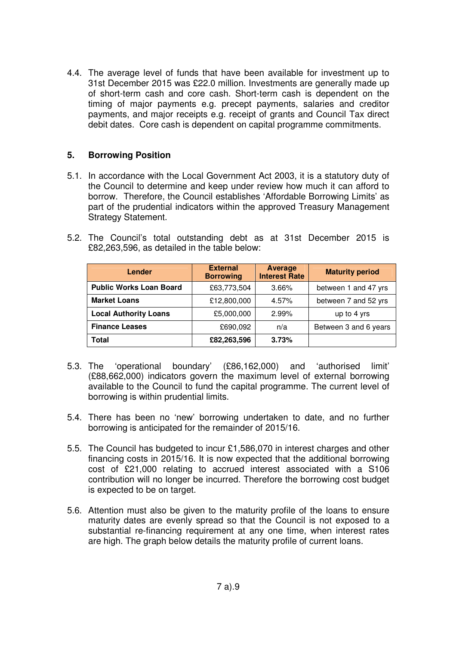4.4. The average level of funds that have been available for investment up to 31st December 2015 was £22.0 million. Investments are generally made up of short-term cash and core cash. Short-term cash is dependent on the timing of major payments e.g. precept payments, salaries and creditor payments, and major receipts e.g. receipt of grants and Council Tax direct debit dates. Core cash is dependent on capital programme commitments.

#### **5. Borrowing Position**

5.1. In accordance with the Local Government Act 2003, it is a statutory duty of the Council to determine and keep under review how much it can afford to borrow. Therefore, the Council establishes 'Affordable Borrowing Limits' as part of the prudential indicators within the approved Treasury Management Strategy Statement.

| Lender                         | <b>External</b><br><b>Borrowing</b> | Average<br><b>Interest Rate</b> | <b>Maturity period</b> |
|--------------------------------|-------------------------------------|---------------------------------|------------------------|
| <b>Public Works Loan Board</b> | £63,773,504                         | $3.66\%$                        | between 1 and 47 yrs   |
| <b>Market Loans</b>            | £12,800,000                         | 4.57%                           | between 7 and 52 yrs   |
| <b>Local Authority Loans</b>   | £5,000,000                          | 2.99%                           | up to 4 yrs            |
| <b>Finance Leases</b>          | £690,092                            | n/a                             | Between 3 and 6 years  |
| Total                          | £82,263,596                         | 3.73%                           |                        |

5.2. The Council's total outstanding debt as at 31st December 2015 is £82,263,596, as detailed in the table below:

- 5.3. The 'operational boundary' (£86,162,000) and 'authorised limit' (£88,662,000) indicators govern the maximum level of external borrowing available to the Council to fund the capital programme. The current level of borrowing is within prudential limits.
- 5.4. There has been no 'new' borrowing undertaken to date, and no further borrowing is anticipated for the remainder of 2015/16.
- 5.5. The Council has budgeted to incur £1,586,070 in interest charges and other financing costs in 2015/16. It is now expected that the additional borrowing cost of £21,000 relating to accrued interest associated with a S106 contribution will no longer be incurred. Therefore the borrowing cost budget is expected to be on target.
- 5.6. Attention must also be given to the maturity profile of the loans to ensure maturity dates are evenly spread so that the Council is not exposed to a substantial re-financing requirement at any one time, when interest rates are high. The graph below details the maturity profile of current loans.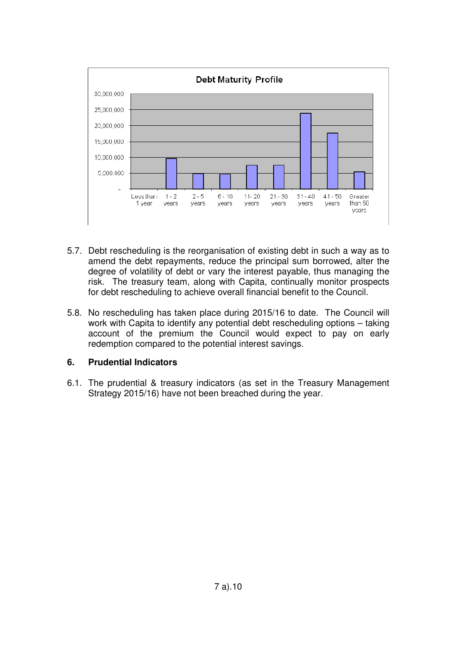

- 5.7. Debt rescheduling is the reorganisation of existing debt in such a way as to amend the debt repayments, reduce the principal sum borrowed, alter the degree of volatility of debt or vary the interest payable, thus managing the risk. The treasury team, along with Capita, continually monitor prospects for debt rescheduling to achieve overall financial benefit to the Council.
- 5.8. No rescheduling has taken place during 2015/16 to date. The Council will work with Capita to identify any potential debt rescheduling options – taking account of the premium the Council would expect to pay on early redemption compared to the potential interest savings.

### **6. Prudential Indicators**

6.1. The prudential & treasury indicators (as set in the Treasury Management Strategy 2015/16) have not been breached during the year.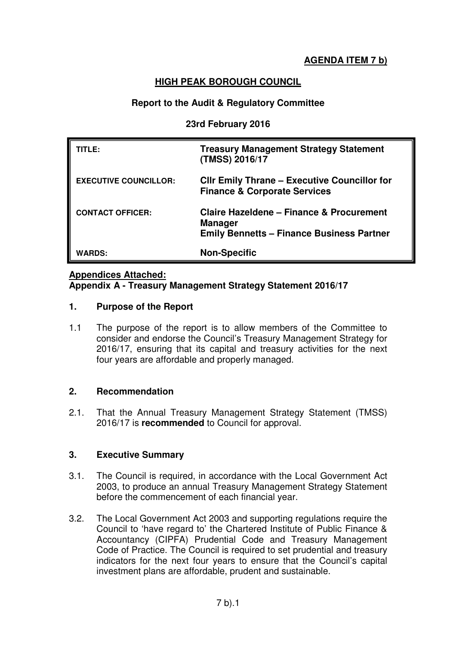# **AGENDA ITEM 7 b)**

### **HIGH PEAK BOROUGH COUNCIL**

### **Report to the Audit & Regulatory Committee**

#### **23rd February 2016**

| TITLE:                       | <b>Treasury Management Strategy Statement</b><br>(TMSS) 2016/17                                                           |
|------------------------------|---------------------------------------------------------------------------------------------------------------------------|
| <b>EXECUTIVE COUNCILLOR:</b> | <b>CIIr Emily Thrane - Executive Councillor for</b><br><b>Finance &amp; Corporate Services</b>                            |
| <b>CONTACT OFFICER:</b>      | <b>Claire Hazeldene - Finance &amp; Procurement</b><br><b>Manager</b><br><b>Emily Bennetts - Finance Business Partner</b> |
| <b>WARDS:</b>                | <b>Non-Specific</b>                                                                                                       |

#### **Appendices Attached:**

#### **Appendix A - Treasury Management Strategy Statement 2016/17**

#### **1. Purpose of the Report**

1.1 The purpose of the report is to allow members of the Committee to consider and endorse the Council's Treasury Management Strategy for 2016/17, ensuring that its capital and treasury activities for the next four years are affordable and properly managed.

### **2. Recommendation**

2.1. That the Annual Treasury Management Strategy Statement (TMSS) 2016/17 is **recommended** to Council for approval.

### **3. Executive Summary**

- 3.1. The Council is required, in accordance with the Local Government Act 2003, to produce an annual Treasury Management Strategy Statement before the commencement of each financial year.
- 3.2. The Local Government Act 2003 and supporting regulations require the Council to 'have regard to' the Chartered Institute of Public Finance & Accountancy (CIPFA) Prudential Code and Treasury Management Code of Practice. The Council is required to set prudential and treasury indicators for the next four years to ensure that the Council's capital investment plans are affordable, prudent and sustainable.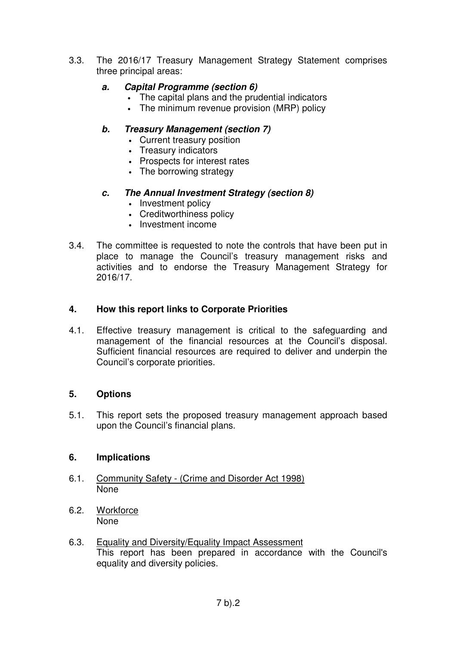3.3. The 2016/17 Treasury Management Strategy Statement comprises three principal areas:

### **a. Capital Programme (section 6)**

- The capital plans and the prudential indicators
- The minimum revenue provision (MRP) policy

### **b. Treasury Management (section 7)**

- Current treasury position
- Treasury indicators
- Prospects for interest rates
- The borrowing strategy

### **c. The Annual Investment Strategy (section 8)**

- Investment policy
- Creditworthiness policy
- Investment income
- 3.4. The committee is requested to note the controls that have been put in place to manage the Council's treasury management risks and activities and to endorse the Treasury Management Strategy for 2016/17.

### **4. How this report links to Corporate Priorities**

4.1. Effective treasury management is critical to the safeguarding and management of the financial resources at the Council's disposal. Sufficient financial resources are required to deliver and underpin the Council's corporate priorities.

### **5. Options**

5.1. This report sets the proposed treasury management approach based upon the Council's financial plans.

#### **6. Implications**

- 6.1. Community Safety (Crime and Disorder Act 1998) None
- 6.2. Workforce None
- 6.3. Equality and Diversity/Equality Impact Assessment This report has been prepared in accordance with the Council's equality and diversity policies.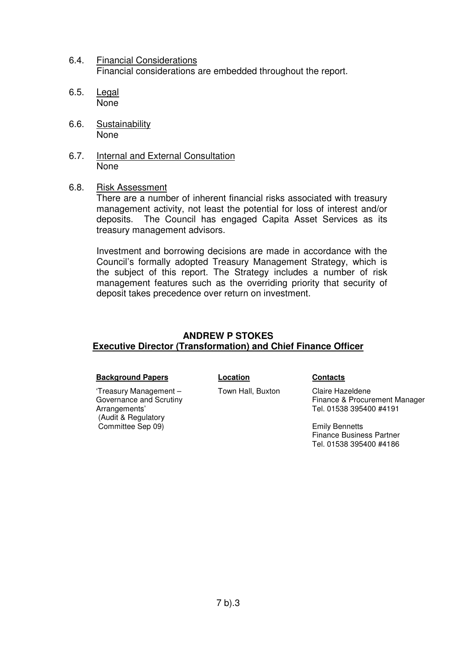- 6.4. Financial Considerations Financial considerations are embedded throughout the report.
- 6.5. Legal None
- 6.6. Sustainability None
- 6.7. Internal and External Consultation None
- 6.8. Risk Assessment

There are a number of inherent financial risks associated with treasury management activity, not least the potential for loss of interest and/or deposits. The Council has engaged Capita Asset Services as its treasury management advisors.

Investment and borrowing decisions are made in accordance with the Council's formally adopted Treasury Management Strategy, which is the subject of this report. The Strategy includes a number of risk management features such as the overriding priority that security of deposit takes precedence over return on investment.

### **ANDREW P STOKES Executive Director (Transformation) and Chief Finance Officer**

#### **Background Papers Location Contacts**

'Treasury Management – Governance and Scrutiny Arrangements' (Audit & Regulatory Committee Sep 09)

Town Hall, Buxton Claire Hazeldene

Finance & Procurement Manager Tel. 01538 395400 #4191

Emily Bennetts Finance Business Partner Tel. 01538 395400 #4186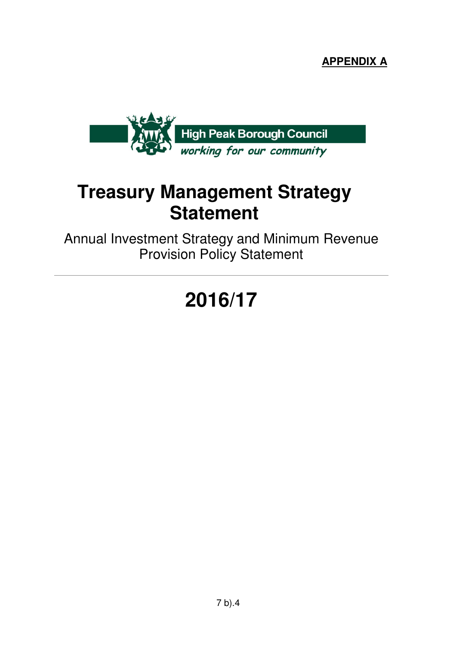**APPENDIX A**



# **Treasury Management Strategy Statement**

Annual Investment Strategy and Minimum Revenue Provision Policy Statement

# **2016/17**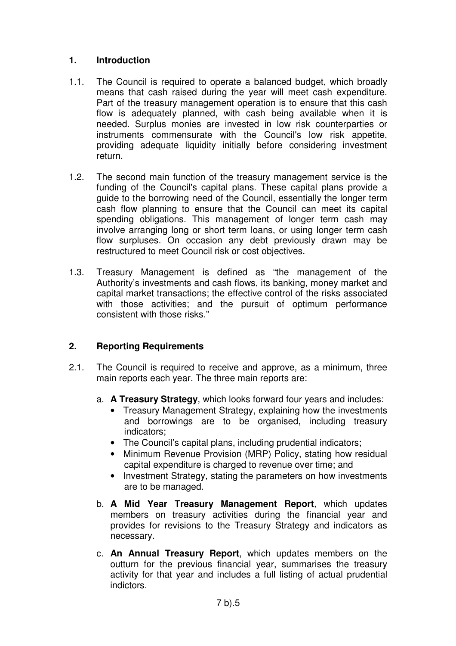### **1. Introduction**

- 1.1. The Council is required to operate a balanced budget, which broadly means that cash raised during the year will meet cash expenditure. Part of the treasury management operation is to ensure that this cash flow is adequately planned, with cash being available when it is needed. Surplus monies are invested in low risk counterparties or instruments commensurate with the Council's low risk appetite, providing adequate liquidity initially before considering investment return.
- 1.2. The second main function of the treasury management service is the funding of the Council's capital plans. These capital plans provide a guide to the borrowing need of the Council, essentially the longer term cash flow planning to ensure that the Council can meet its capital spending obligations. This management of longer term cash may involve arranging long or short term loans, or using longer term cash flow surpluses. On occasion any debt previously drawn may be restructured to meet Council risk or cost objectives.
- 1.3. Treasury Management is defined as "the management of the Authority's investments and cash flows, its banking, money market and capital market transactions; the effective control of the risks associated with those activities; and the pursuit of optimum performance consistent with those risks."

## **2. Reporting Requirements**

- 2.1. The Council is required to receive and approve, as a minimum, three main reports each year. The three main reports are:
	- a. **A Treasury Strategy**, which looks forward four years and includes:
		- Treasury Management Strategy, explaining how the investments and borrowings are to be organised, including treasury indicators;
		- The Council's capital plans, including prudential indicators;
		- Minimum Revenue Provision (MRP) Policy, stating how residual capital expenditure is charged to revenue over time; and
		- Investment Strategy, stating the parameters on how investments are to be managed.
	- b. **A Mid Year Treasury Management Report**, which updates members on treasury activities during the financial year and provides for revisions to the Treasury Strategy and indicators as necessary.
	- c. **An Annual Treasury Report**, which updates members on the outturn for the previous financial year, summarises the treasury activity for that year and includes a full listing of actual prudential indictors.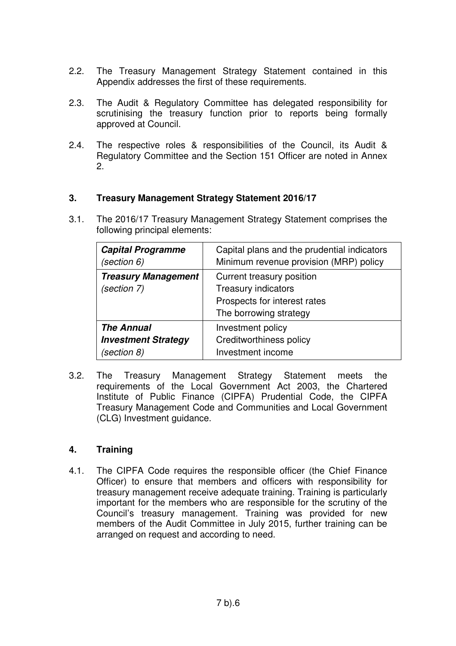- 2.2. The Treasury Management Strategy Statement contained in this Appendix addresses the first of these requirements.
- 2.3. The Audit & Regulatory Committee has delegated responsibility for scrutinising the treasury function prior to reports being formally approved at Council.
- 2.4. The respective roles & responsibilities of the Council, its Audit & Regulatory Committee and the Section 151 Officer are noted in Annex 2.

### **3. Treasury Management Strategy Statement 2016/17**

3.1. The 2016/17 Treasury Management Strategy Statement comprises the following principal elements:

| <b>Capital Programme</b>                  | Capital plans and the prudential indicators                                                                       |
|-------------------------------------------|-------------------------------------------------------------------------------------------------------------------|
| (section 6)                               | Minimum revenue provision (MRP) policy                                                                            |
| <b>Treasury Management</b><br>(section 7) | Current treasury position<br><b>Treasury indicators</b><br>Prospects for interest rates<br>The borrowing strategy |
| <b>The Annual</b>                         | Investment policy                                                                                                 |
| <b>Investment Strategy</b>                | <b>Creditworthiness policy</b>                                                                                    |
| (section 8)                               | Investment income                                                                                                 |

3.2. The Treasury Management Strategy Statement meets the requirements of the Local Government Act 2003, the Chartered Institute of Public Finance (CIPFA) Prudential Code, the CIPFA Treasury Management Code and Communities and Local Government (CLG) Investment guidance.

### **4. Training**

4.1. The CIPFA Code requires the responsible officer (the Chief Finance Officer) to ensure that members and officers with responsibility for treasury management receive adequate training. Training is particularly important for the members who are responsible for the scrutiny of the Council's treasury management. Training was provided for new members of the Audit Committee in July 2015, further training can be arranged on request and according to need.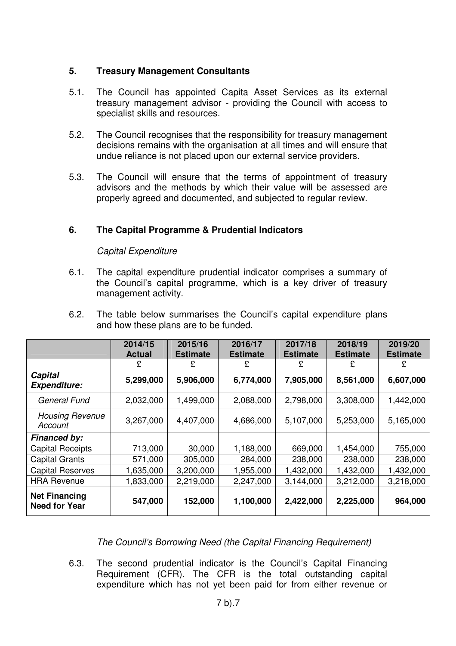### **5. Treasury Management Consultants**

- 5.1. The Council has appointed Capita Asset Services as its external treasury management advisor - providing the Council with access to specialist skills and resources.
- 5.2. The Council recognises that the responsibility for treasury management decisions remains with the organisation at all times and will ensure that undue reliance is not placed upon our external service providers.
- 5.3. The Council will ensure that the terms of appointment of treasury advisors and the methods by which their value will be assessed are properly agreed and documented, and subjected to regular review.

### **6. The Capital Programme & Prudential Indicators**

### Capital Expenditure

- 6.1. The capital expenditure prudential indicator comprises a summary of the Council's capital programme, which is a key driver of treasury management activity.
- 6.2. The table below summarises the Council's capital expenditure plans and how these plans are to be funded.

|                                              | 2014/15<br><b>Actual</b> | 2015/16<br><b>Estimate</b> | 2016/17<br><b>Estimate</b> | 2017/18<br><b>Estimate</b> | 2018/19<br><b>Estimate</b> | 2019/20<br><b>Estimate</b> |
|----------------------------------------------|--------------------------|----------------------------|----------------------------|----------------------------|----------------------------|----------------------------|
|                                              | £                        | £                          | £                          | £                          | £                          | £                          |
| Capital<br><b>Expenditure:</b>               | 5,299,000                | 5,906,000                  | 6,774,000                  | 7,905,000                  | 8,561,000                  | 6,607,000                  |
| <b>General Fund</b>                          | 2,032,000                | 1,499,000                  | 2,088,000                  | 2,798,000                  | 3,308,000                  | 1,442,000                  |
| <b>Housing Revenue</b><br>Account            | 3,267,000                | 4,407,000                  | 4,686,000                  | 5,107,000                  | 5,253,000                  | 5,165,000                  |
| <b>Financed by:</b>                          |                          |                            |                            |                            |                            |                            |
| <b>Capital Receipts</b>                      | 713,000                  | 30,000                     | 1,188,000                  | 669,000                    | 1,454,000                  | 755,000                    |
| <b>Capital Grants</b>                        | 571,000                  | 305,000                    | 284,000                    | 238,000                    | 238,000                    | 238,000                    |
| <b>Capital Reserves</b>                      | 1,635,000                | 3,200,000                  | 1,955,000                  | 1,432,000                  | 1,432,000                  | 1,432,000                  |
| <b>HRA Revenue</b>                           | 1,833,000                | 2,219,000                  | 2,247,000                  | 3,144,000                  | 3,212,000                  | 3,218,000                  |
| <b>Net Financing</b><br><b>Need for Year</b> | 547,000                  | 152,000                    | 1,100,000                  | 2,422,000                  | 2,225,000                  | 964,000                    |

The Council's Borrowing Need (the Capital Financing Requirement)

6.3. The second prudential indicator is the Council's Capital Financing Requirement (CFR). The CFR is the total outstanding capital expenditure which has not yet been paid for from either revenue or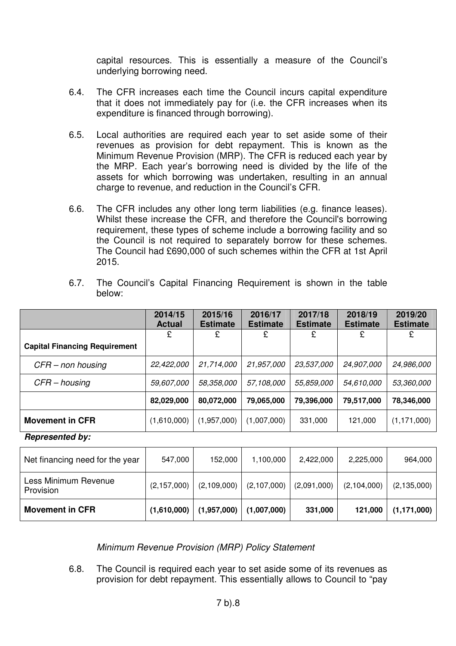capital resources. This is essentially a measure of the Council's underlying borrowing need.

- 6.4. The CFR increases each time the Council incurs capital expenditure that it does not immediately pay for (i.e. the CFR increases when its expenditure is financed through borrowing).
- 6.5. Local authorities are required each year to set aside some of their revenues as provision for debt repayment. This is known as the Minimum Revenue Provision (MRP). The CFR is reduced each year by the MRP. Each year's borrowing need is divided by the life of the assets for which borrowing was undertaken, resulting in an annual charge to revenue, and reduction in the Council's CFR.
- 6.6. The CFR includes any other long term liabilities (e.g. finance leases). Whilst these increase the CFR, and therefore the Council's borrowing requirement, these types of scheme include a borrowing facility and so the Council is not required to separately borrow for these schemes. The Council had £690,000 of such schemes within the CFR at 1st April 2015.
- 6.7. The Council's Capital Financing Requirement is shown in the table below:

|                                      | 2014/15<br><b>Actual</b> | 2015/16<br><b>Estimate</b> | 2016/17<br><b>Estimate</b> | 2017/18<br><b>Estimate</b> | 2018/19<br><b>Estimate</b> | 2019/20<br><b>Estimate</b> |
|--------------------------------------|--------------------------|----------------------------|----------------------------|----------------------------|----------------------------|----------------------------|
|                                      | £                        | £                          | £                          | £                          | £                          |                            |
| <b>Capital Financing Requirement</b> |                          |                            |                            |                            |                            |                            |
| CFR – non housing                    | 22,422,000               | 21,714,000                 | 21,957,000                 | 23,537,000                 | 24,907,000                 | 24,986,000                 |
| $CFR - housing$                      | <i>59,607,000</i>        | 58,358,000                 | 57,108,000                 | 55,859,000                 | 54,610,000                 | 53,360,000                 |
|                                      | 82,029,000               | 80,072,000                 | 79,065,000                 | 79,396,000                 | 79,517,000                 | 78,346,000                 |
| <b>Movement in CFR</b>               | (1,610,000)              | (1,957,000)                | (1,007,000)                | 331,000                    | 121,000                    | (1, 171, 000)              |

**Represented by:** 

| Net financing need for the year   | 547,000       | 152,000     | 1,100,000   | 2,422,000   | 2,225,000   | 964,000       |
|-----------------------------------|---------------|-------------|-------------|-------------|-------------|---------------|
| Less Minimum Revenue<br>Provision | (2, 157, 000) | (2,109,000) | (2,107,000) | (2,091,000) | (2,104,000) | (2, 135, 000) |
| <b>Movement in CFR</b>            | (1,610,000)   | (1,957,000) | (1,007,000) | 331,000     | 121,000     | (1, 171, 000) |

Minimum Revenue Provision (MRP) Policy Statement

6.8. The Council is required each year to set aside some of its revenues as provision for debt repayment. This essentially allows to Council to "pay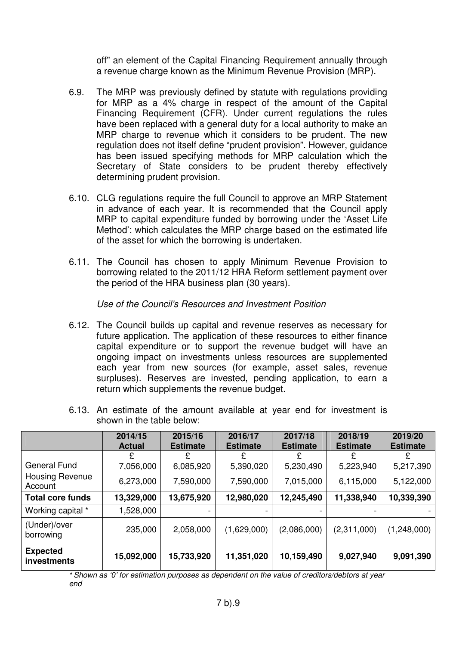off" an element of the Capital Financing Requirement annually through a revenue charge known as the Minimum Revenue Provision (MRP).

- 6.9. The MRP was previously defined by statute with regulations providing for MRP as a 4% charge in respect of the amount of the Capital Financing Requirement (CFR). Under current regulations the rules have been replaced with a general duty for a local authority to make an MRP charge to revenue which it considers to be prudent. The new regulation does not itself define "prudent provision". However, guidance has been issued specifying methods for MRP calculation which the Secretary of State considers to be prudent thereby effectively determining prudent provision.
- 6.10. CLG regulations require the full Council to approve an MRP Statement in advance of each year. It is recommended that the Council apply MRP to capital expenditure funded by borrowing under the 'Asset Life Method': which calculates the MRP charge based on the estimated life of the asset for which the borrowing is undertaken.
- 6.11. The Council has chosen to apply Minimum Revenue Provision to borrowing related to the 2011/12 HRA Reform settlement payment over the period of the HRA business plan (30 years).

#### Use of the Council's Resources and Investment Position

- 6.12. The Council builds up capital and revenue reserves as necessary for future application. The application of these resources to either finance capital expenditure or to support the revenue budget will have an ongoing impact on investments unless resources are supplemented each year from new sources (for example, asset sales, revenue surpluses). Reserves are invested, pending application, to earn a return which supplements the revenue budget.
- 6.13. An estimate of the amount available at year end for investment is shown in the table below:

|                                | 2014/15<br><b>Actual</b> | 2015/16<br><b>Estimate</b> | 2016/17<br><b>Estimate</b> | 2017/18<br><b>Estimate</b> | 2018/19<br><b>Estimate</b> | 2019/20<br><b>Estimate</b> |
|--------------------------------|--------------------------|----------------------------|----------------------------|----------------------------|----------------------------|----------------------------|
|                                |                          |                            |                            | £                          |                            |                            |
| <b>General Fund</b>            | 7,056,000                | 6,085,920                  | 5,390,020                  | 5,230,490                  | 5,223,940                  | 5,217,390                  |
| Housing Revenue<br>Account     | 6,273,000                | 7,590,000                  | 7,590,000                  | 7,015,000                  | 6,115,000                  | 5,122,000                  |
| <b>Total core funds</b>        | 13,329,000               | 13,675,920                 | 12,980,020                 | 12,245,490                 | 11,338,940                 | 10,339,390                 |
| Working capital *              | 1,528,000                |                            |                            |                            |                            |                            |
| (Under)/over<br>borrowing      | 235,000                  | 2,058,000                  | (1,629,000)                | (2,086,000)                | (2,311,000)                | (1,248,000)                |
| <b>Expected</b><br>investments | 15,092,000               | 15,733,920                 | 11,351,020                 | 10,159,490                 | 9,027,940                  | 9,091,390                  |

\* Shown as '0' for estimation purposes as dependent on the value of creditors/debtors at year end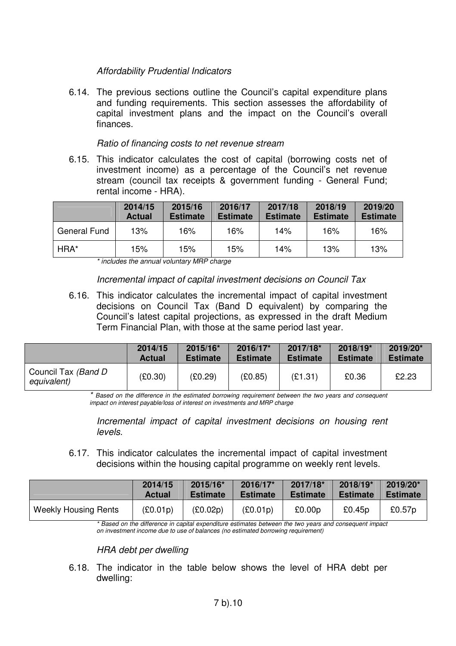### Affordability Prudential Indicators

6.14. The previous sections outline the Council's capital expenditure plans and funding requirements. This section assesses the affordability of capital investment plans and the impact on the Council's overall finances.

#### Ratio of financing costs to net revenue stream

6.15. This indicator calculates the cost of capital (borrowing costs net of investment income) as a percentage of the Council's net revenue stream (council tax receipts & government funding - General Fund; rental income - HRA).

|                     | 2014/15<br><b>Actual</b> | 2015/16<br><b>Estimate</b> | 2016/17<br><b>Estimate</b> | 2017/18<br><b>Estimate</b> | 2018/19<br><b>Estimate</b> | 2019/20<br><b>Estimate</b> |
|---------------------|--------------------------|----------------------------|----------------------------|----------------------------|----------------------------|----------------------------|
| <b>General Fund</b> | 13%                      | 16%                        | 16%                        | 14%                        | 16%                        | 16%                        |
| HRA*                | 15%                      | 15%                        | 15%                        | 14%                        | 13%                        | 13%                        |

\* includes the annual voluntary MRP charge

### Incremental impact of capital investment decisions on Council Tax

6.16. This indicator calculates the incremental impact of capital investment decisions on Council Tax (Band D equivalent) by comparing the Council's latest capital projections, as expressed in the draft Medium Term Financial Plan, with those at the same period last year.

|                                     | 2014/15       | 2015/16*        | 2016/17*        | 2017/18*        | 2018/19*        | 2019/20*        |
|-------------------------------------|---------------|-----------------|-----------------|-----------------|-----------------|-----------------|
|                                     | <b>Actual</b> | <b>Estimate</b> | <b>Estimate</b> | <b>Estimate</b> | <b>Estimate</b> | <b>Estimate</b> |
| Council Tax (Band D)<br>equivalent) | (£0.30)       | (£0.29)         | (E0.85)         | (E1.31)         | £0.36           | £2.23           |

\* Based on the difference in the estimated borrowing requirement between the two years and consequent impact on interest payable/loss of interest on investments and MRP charge

Incremental impact of capital investment decisions on housing rent levels.

6.17. This indicator calculates the incremental impact of capital investment decisions within the housing capital programme on weekly rent levels.

|                             | 2014/15       | 2015/16*        | 2016/17*        | 2017/18*        | 2018/19*        | 2019/20*        |
|-----------------------------|---------------|-----------------|-----------------|-----------------|-----------------|-----------------|
|                             | <b>Actual</b> | <b>Estimate</b> | <b>Estimate</b> | <b>Estimate</b> | <b>Estimate</b> | <b>Estimate</b> |
| <b>Weekly Housing Rents</b> | (£0.01p)      | (E0.02p)        | (£0.01p)        | £0.00p          | £0.45p          | £0.57p          |

\* Based on the difference in capital expenditure estimates between the two years and consequent impact on investment income due to use of balances (no estimated borrowing requirement)

HRA debt per dwelling

6.18. The indicator in the table below shows the level of HRA debt per dwelling: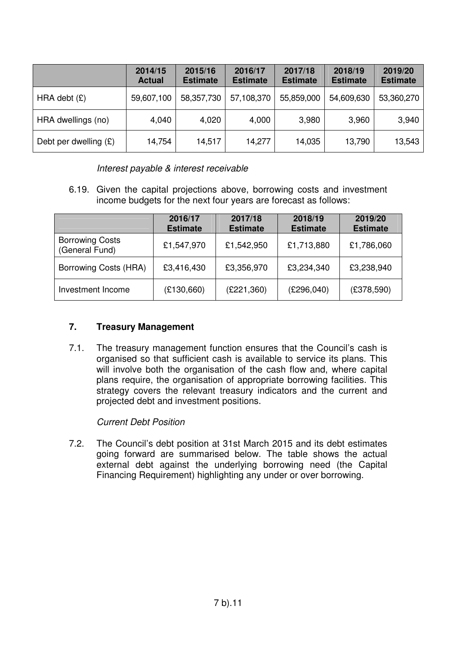|                         | 2014/15<br><b>Actual</b> | 2015/16<br><b>Estimate</b> | 2016/17<br><b>Estimate</b> | 2017/18<br><b>Estimate</b> | 2018/19<br><b>Estimate</b> | 2019/20<br><b>Estimate</b> |
|-------------------------|--------------------------|----------------------------|----------------------------|----------------------------|----------------------------|----------------------------|
| HRA debt $(E)$          | 59,607,100               | 58,357,730                 | 57,108,370                 | 55,859,000                 | 54,609,630                 | 53,360,270                 |
| HRA dwellings (no)      | 4,040                    | 4,020                      | 4,000                      | 3,980                      | 3,960                      | 3,940                      |
| Debt per dwelling $(E)$ | 14,754                   | 14,517                     | 14,277                     | 14,035                     | 13,790                     | 13,543                     |

Interest payable & interest receivable

6.19. Given the capital projections above, borrowing costs and investment income budgets for the next four years are forecast as follows:

|                                          | 2016/17<br><b>Estimate</b> | 2017/18<br><b>Estimate</b> | 2018/19<br><b>Estimate</b> | 2019/20<br><b>Estimate</b> |
|------------------------------------------|----------------------------|----------------------------|----------------------------|----------------------------|
| <b>Borrowing Costs</b><br>(General Fund) | £1,547,970                 | £1,542,950                 | £1,713,880                 | £1,786,060                 |
| Borrowing Costs (HRA)                    | £3,416,430                 | £3,356,970                 | £3,234,340                 | £3,238,940                 |
| Investment Income                        | (E130,660)                 | (E221,360)                 | (E296,040)                 | (E378,590)                 |

### **7. Treasury Management**

7.1. The treasury management function ensures that the Council's cash is organised so that sufficient cash is available to service its plans. This will involve both the organisation of the cash flow and, where capital plans require, the organisation of appropriate borrowing facilities. This strategy covers the relevant treasury indicators and the current and projected debt and investment positions.

Current Debt Position

7.2. The Council's debt position at 31st March 2015 and its debt estimates going forward are summarised below. The table shows the actual external debt against the underlying borrowing need (the Capital Financing Requirement) highlighting any under or over borrowing.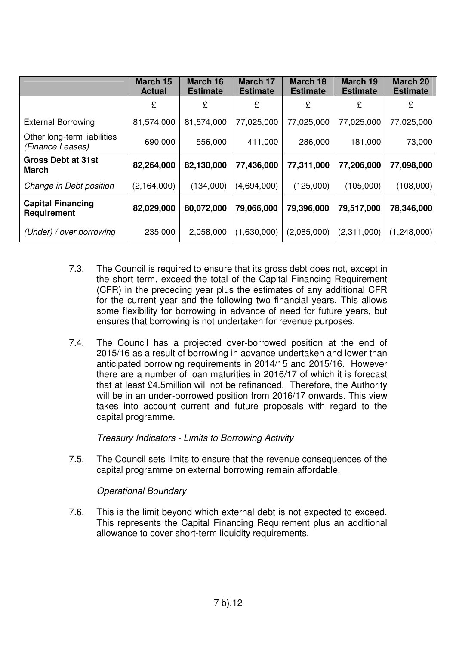|                                                 | March 15<br><b>Actual</b> | March 16<br><b>Estimate</b> | <b>March 17</b><br><b>Estimate</b> | <b>March 18</b><br><b>Estimate</b> | March 19<br><b>Estimate</b> | March 20<br><b>Estimate</b> |
|-------------------------------------------------|---------------------------|-----------------------------|------------------------------------|------------------------------------|-----------------------------|-----------------------------|
|                                                 | £                         | £                           | £                                  | £                                  | £                           | £                           |
| <b>External Borrowing</b>                       | 81,574,000                | 81,574,000                  | 77,025,000                         | 77,025,000                         | 77,025,000                  | 77,025,000                  |
| Other long-term liabilities<br>(Finance Leases) | 690,000                   | 556,000                     | 411,000                            | 286,000                            | 181,000                     | 73,000                      |
| <b>Gross Debt at 31st</b><br>March              | 82,264,000                | 82,130,000                  | 77,436,000                         | 77,311,000                         | 77,206,000                  | 77,098,000                  |
| Change in Debt position                         | (2, 164, 000)             | (134,000)                   | (4,694,000)                        | (125,000)                          | (105,000)                   | (108,000)                   |
| <b>Capital Financing</b><br><b>Requirement</b>  | 82,029,000                | 80,072,000                  | 79,066,000                         | 79,396,000                         | 79,517,000                  | 78,346,000                  |
| (Under) / over borrowing                        | 235,000                   | 2,058,000                   | (1,630,000)                        | (2,085,000)                        | (2,311,000)                 | (1,248,000)                 |

- 7.3. The Council is required to ensure that its gross debt does not, except in the short term, exceed the total of the Capital Financing Requirement (CFR) in the preceding year plus the estimates of any additional CFR for the current year and the following two financial years. This allows some flexibility for borrowing in advance of need for future years, but ensures that borrowing is not undertaken for revenue purposes.
- 7.4. The Council has a projected over-borrowed position at the end of 2015/16 as a result of borrowing in advance undertaken and lower than anticipated borrowing requirements in 2014/15 and 2015/16. However there are a number of loan maturities in 2016/17 of which it is forecast that at least £4.5million will not be refinanced. Therefore, the Authority will be in an under-borrowed position from 2016/17 onwards. This view takes into account current and future proposals with regard to the capital programme.

Treasury Indicators - Limits to Borrowing Activity

7.5. The Council sets limits to ensure that the revenue consequences of the capital programme on external borrowing remain affordable.

### Operational Boundary

7.6. This is the limit beyond which external debt is not expected to exceed. This represents the Capital Financing Requirement plus an additional allowance to cover short-term liquidity requirements.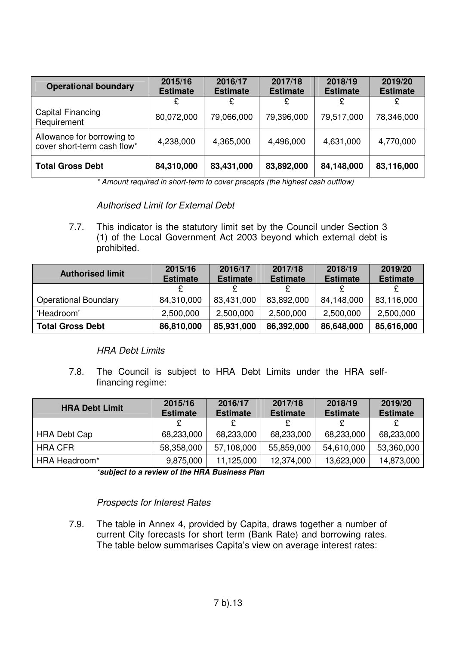| <b>Operational boundary</b>                               | 2015/16<br><b>Estimate</b> | 2016/17<br><b>Estimate</b> | 2017/18<br><b>Estimate</b> | 2018/19<br><b>Estimate</b> | 2019/20<br><b>Estimate</b> |
|-----------------------------------------------------------|----------------------------|----------------------------|----------------------------|----------------------------|----------------------------|
|                                                           |                            | £                          | £                          |                            |                            |
| Capital Financing<br>Requirement                          | 80,072,000                 | 79,066,000                 | 79,396,000                 | 79,517,000                 | 78,346,000                 |
| Allowance for borrowing to<br>cover short-term cash flow* | 4,238,000                  | 4,365,000                  | 4,496,000                  | 4,631,000                  | 4,770,000                  |
| <b>Total Gross Debt</b>                                   | 84,310,000                 | 83,431,000                 | 83,892,000                 | 84,148,000                 | 83,116,000                 |

\* Amount required in short-term to cover precepts (the highest cash outflow)

#### Authorised Limit for External Debt

7.7. This indicator is the statutory limit set by the Council under Section 3 (1) of the Local Government Act 2003 beyond which external debt is prohibited.

| <b>Authorised limit</b>     | 2015/16<br><b>Estimate</b> | 2016/17<br><b>Estimate</b> | 2017/18<br><b>Estimate</b> | 2018/19<br><b>Estimate</b> | 2019/20<br><b>Estimate</b> |
|-----------------------------|----------------------------|----------------------------|----------------------------|----------------------------|----------------------------|
|                             | c                          | ₽                          |                            |                            |                            |
|                             |                            |                            |                            |                            |                            |
| <b>Operational Boundary</b> | 84,310,000                 | 83,431,000                 | 83,892,000                 | 84,148,000                 | 83,116,000                 |
| 'Headroom'                  | 2,500,000                  | 2,500,000                  | 2,500,000                  | 2,500,000                  | 2,500,000                  |
| <b>Total Gross Debt</b>     | 86,810,000                 | 85,931,000                 | 86,392,000                 | 86,648,000                 | 85,616,000                 |

### HRA Debt Limits

7.8. The Council is subject to HRA Debt Limits under the HRA selffinancing regime:

| <b>HRA Debt Limit</b> | 2015/16         | 2016/17         | 2017/18         | 2018/19         | 2019/20         |
|-----------------------|-----------------|-----------------|-----------------|-----------------|-----------------|
|                       | <b>Estimate</b> | <b>Estimate</b> | <b>Estimate</b> | <b>Estimate</b> | <b>Estimate</b> |
|                       |                 | £               |                 |                 |                 |
| <b>HRA Debt Cap</b>   | 68,233,000      | 68,233,000      | 68,233,000      | 68,233,000      | 68,233,000      |
| <b>HRA CFR</b>        | 58,358,000      | 57,108,000      | 55,859,000      | 54,610,000      | 53,360,000      |
| HRA Headroom*         | 9,875,000       | 11,125,000      | 12,374,000      | 13,623,000      | 14,873,000      |

**\*subject to a review of the HRA Business Plan** 

#### Prospects for Interest Rates

7.9. The table in Annex 4, provided by Capita, draws together a number of current City forecasts for short term (Bank Rate) and borrowing rates. The table below summarises Capita's view on average interest rates: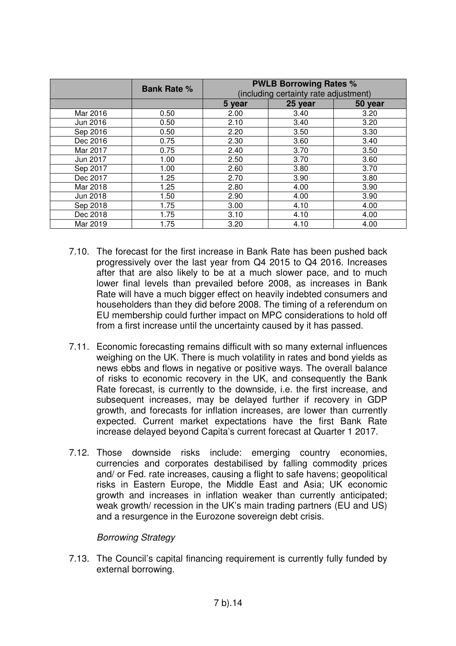|          | <b>Bank Rate %</b> | <b>PWLB Borrowing Rates %</b><br>(including certainty rate adjustment) |         |         |  |  |
|----------|--------------------|------------------------------------------------------------------------|---------|---------|--|--|
|          |                    | 5 year                                                                 | 25 year | 50 year |  |  |
| Mar 2016 | 0.50               | 2.00                                                                   | 3.40    | 3.20    |  |  |
| Jun 2016 | 0.50               | 2.10                                                                   | 3.40    | 3.20    |  |  |
| Sep 2016 | 0.50               | 2.20                                                                   | 3.50    | 3.30    |  |  |
| Dec 2016 | 0.75               | 2.30                                                                   | 3.60    | 3.40    |  |  |
| Mar 2017 | 0.75               | 2.40                                                                   | 3.70    | 3.50    |  |  |
| Jun 2017 | 1.00               | 2.50                                                                   | 3.70    | 3.60    |  |  |
| Sep 2017 | 1.00               | 2.60                                                                   | 3.80    | 3.70    |  |  |
| Dec 2017 | 1.25               | 2.70                                                                   | 3.90    | 3.80    |  |  |
| Mar 2018 | 1.25               | 2.80                                                                   | 4.00    | 3.90    |  |  |
| Jun 2018 | 1.50               | 2.90                                                                   | 4.00    | 3.90    |  |  |
| Sep 2018 | 1.75               | 3.00                                                                   | 4.10    | 4.00    |  |  |
| Dec 2018 | 1.75               | 3.10                                                                   | 4.10    | 4.00    |  |  |
| Mar 2019 | 1.75               | 3.20                                                                   | 4.10    | 4.00    |  |  |

- 7.10. The forecast for the first increase in Bank Rate has been pushed back progressively over the last year from Q4 2015 to Q4 2016. Increases after that are also likely to be at a much slower pace, and to much lower final levels than prevailed before 2008, as increases in Bank Rate will have a much bigger effect on heavily indebted consumers and householders than they did before 2008. The timing of a referendum on EU membership could further impact on MPC considerations to hold off from a first increase until the uncertainty caused by it has passed.
- 7.11. Economic forecasting remains difficult with so many external influences weighing on the UK. There is much volatility in rates and bond yields as news ebbs and flows in negative or positive ways. The overall balance of risks to economic recovery in the UK, and consequently the Bank Rate forecast, is currently to the downside, i.e. the first increase, and subsequent increases, may be delayed further if recovery in GDP growth, and forecasts for inflation increases, are lower than currently expected. Current market expectations have the first Bank Rate increase delayed beyond Capita's current forecast at Quarter 1 2017.
- 7.12. Those downside risks include: emerging country economies, currencies and corporates destabilised by falling commodity prices and/ or Fed. rate increases, causing a flight to safe havens; geopolitical risks in Eastern Europe, the Middle East and Asia; UK economic growth and increases in inflation weaker than currently anticipated; weak growth/ recession in the UK's main trading partners (EU and US) and a resurgence in the Eurozone sovereign debt crisis.

#### Borrowing Strategy

7.13. The Council's capital financing requirement is currently fully funded by external borrowing.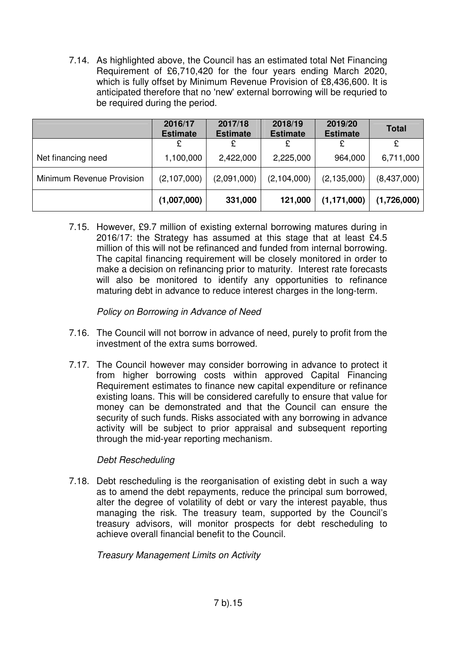7.14. As highlighted above, the Council has an estimated total Net Financing Requirement of £6,710,420 for the four years ending March 2020, which is fully offset by Minimum Revenue Provision of £8,436,600. It is anticipated therefore that no 'new' external borrowing will be requried to be required during the period.

|                           | 2016/17<br><b>Estimate</b> | 2017/18<br><b>Estimate</b> | 2018/19<br><b>Estimate</b> | 2019/20<br><b>Estimate</b> | <b>Total</b> |
|---------------------------|----------------------------|----------------------------|----------------------------|----------------------------|--------------|
|                           | £                          | £                          | £                          | £                          | £            |
| Net financing need        | 1,100,000                  | 2,422,000                  | 2,225,000                  | 964,000                    | 6,711,000    |
| Minimum Revenue Provision | (2,107,000)                | (2,091,000)                | (2,104,000)                | (2, 135, 000)              | (8,437,000)  |
|                           | (1,007,000)                | 331,000                    | 121,000                    | (1, 171, 000)              | (1,726,000)  |

7.15. However, £9.7 million of existing external borrowing matures during in 2016/17: the Strategy has assumed at this stage that at least £4.5 million of this will not be refinanced and funded from internal borrowing. The capital financing requirement will be closely monitored in order to make a decision on refinancing prior to maturity. Interest rate forecasts will also be monitored to identify any opportunities to refinance maturing debt in advance to reduce interest charges in the long-term.

### Policy on Borrowing in Advance of Need

- 7.16. The Council will not borrow in advance of need, purely to profit from the investment of the extra sums borrowed.
- 7.17. The Council however may consider borrowing in advance to protect it from higher borrowing costs within approved Capital Financing Requirement estimates to finance new capital expenditure or refinance existing loans. This will be considered carefully to ensure that value for money can be demonstrated and that the Council can ensure the security of such funds. Risks associated with any borrowing in advance activity will be subject to prior appraisal and subsequent reporting through the mid-year reporting mechanism.

### Debt Rescheduling

7.18. Debt rescheduling is the reorganisation of existing debt in such a way as to amend the debt repayments, reduce the principal sum borrowed, alter the degree of volatility of debt or vary the interest payable, thus managing the risk. The treasury team, supported by the Council's treasury advisors, will monitor prospects for debt rescheduling to achieve overall financial benefit to the Council.

Treasury Management Limits on Activity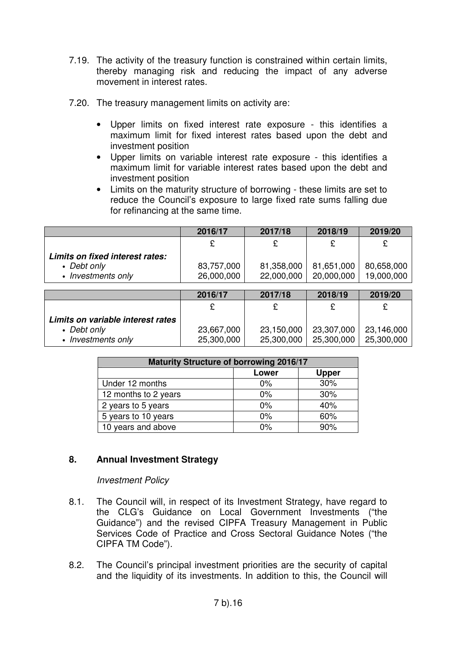- 7.19. The activity of the treasury function is constrained within certain limits, thereby managing risk and reducing the impact of any adverse movement in interest rates.
- 7.20. The treasury management limits on activity are:
	- Upper limits on fixed interest rate exposure this identifies a maximum limit for fixed interest rates based upon the debt and investment position
	- Upper limits on variable interest rate exposure this identifies a maximum limit for variable interest rates based upon the debt and investment position
	- Limits on the maturity structure of borrowing these limits are set to reduce the Council's exposure to large fixed rate sums falling due for refinancing at the same time.

|                                   | 2016/17    | 2017/18    | 2018/19    | 2019/20    |
|-----------------------------------|------------|------------|------------|------------|
|                                   | £          | £          | £          | £          |
| Limits on fixed interest rates:   |            |            |            |            |
| • Debt only                       | 83,757,000 | 81,358,000 | 81,651,000 | 80,658,000 |
| • Investments only                | 26,000,000 | 22,000,000 | 20,000,000 | 19,000,000 |
|                                   |            |            |            |            |
|                                   | 2016/17    | 2017/18    | 2018/19    | 2019/20    |
|                                   | £          | £          | £          | £          |
| Limits on variable interest rates |            |            |            |            |
| • Debt only                       | 23,667,000 | 23,150,000 | 23,307,000 | 23,146,000 |
| • Investments only                | 25,300,000 | 25,300,000 | 25,300,000 | 25,300,000 |

| <b>Maturity Structure of borrowing 2016/17</b> |       |              |  |  |
|------------------------------------------------|-------|--------------|--|--|
|                                                | Lower | <b>Upper</b> |  |  |
| Under 12 months                                | $0\%$ | 30%          |  |  |
| 12 months to 2 years                           | $0\%$ | 30%          |  |  |
| 2 years to 5 years                             | $0\%$ | 40%          |  |  |
| 5 years to 10 years                            | 0%    | 60%          |  |  |
| 10 years and above                             | $0\%$ | 90%          |  |  |

### **8. Annual Investment Strategy**

#### Investment Policy

- 8.1. The Council will, in respect of its Investment Strategy, have regard to the CLG's Guidance on Local Government Investments ("the Guidance") and the revised CIPFA Treasury Management in Public Services Code of Practice and Cross Sectoral Guidance Notes ("the CIPFA TM Code").
- 8.2. The Council's principal investment priorities are the security of capital and the liquidity of its investments. In addition to this, the Council will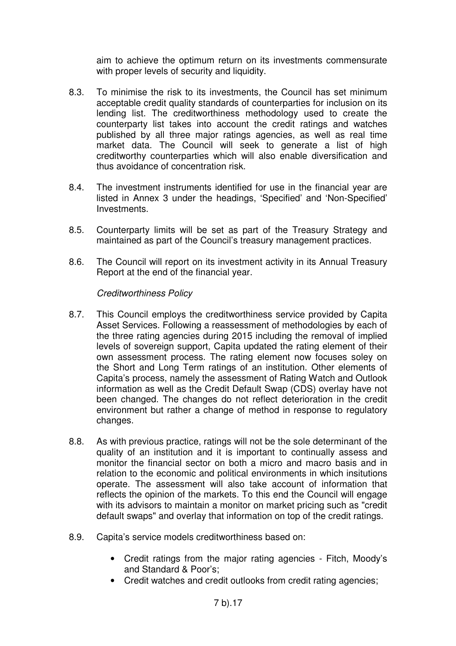aim to achieve the optimum return on its investments commensurate with proper levels of security and liquidity.

- 8.3. To minimise the risk to its investments, the Council has set minimum acceptable credit quality standards of counterparties for inclusion on its lending list. The creditworthiness methodology used to create the counterparty list takes into account the credit ratings and watches published by all three major ratings agencies, as well as real time market data. The Council will seek to generate a list of high creditworthy counterparties which will also enable diversification and thus avoidance of concentration risk.
- 8.4. The investment instruments identified for use in the financial year are listed in Annex 3 under the headings, 'Specified' and 'Non-Specified' Investments.
- 8.5. Counterparty limits will be set as part of the Treasury Strategy and maintained as part of the Council's treasury management practices.
- 8.6. The Council will report on its investment activity in its Annual Treasury Report at the end of the financial year.

### Creditworthiness Policy

- 8.7. This Council employs the creditworthiness service provided by Capita Asset Services. Following a reassessment of methodologies by each of the three rating agencies during 2015 including the removal of implied levels of sovereign support, Capita updated the rating element of their own assessment process. The rating element now focuses soley on the Short and Long Term ratings of an institution. Other elements of Capita's process, namely the assessment of Rating Watch and Outlook information as well as the Credit Default Swap (CDS) overlay have not been changed. The changes do not reflect deterioration in the credit environment but rather a change of method in response to regulatory changes.
- 8.8. As with previous practice, ratings will not be the sole determinant of the quality of an institution and it is important to continually assess and monitor the financial sector on both a micro and macro basis and in relation to the economic and political environments in which insitutions operate. The assessment will also take account of information that reflects the opinion of the markets. To this end the Council will engage with its advisors to maintain a monitor on market pricing such as "credit" default swaps" and overlay that information on top of the credit ratings.
- 8.9. Capita's service models creditworthiness based on:
	- Credit ratings from the major rating agencies Fitch, Moody's and Standard & Poor's;
	- Credit watches and credit outlooks from credit rating agencies;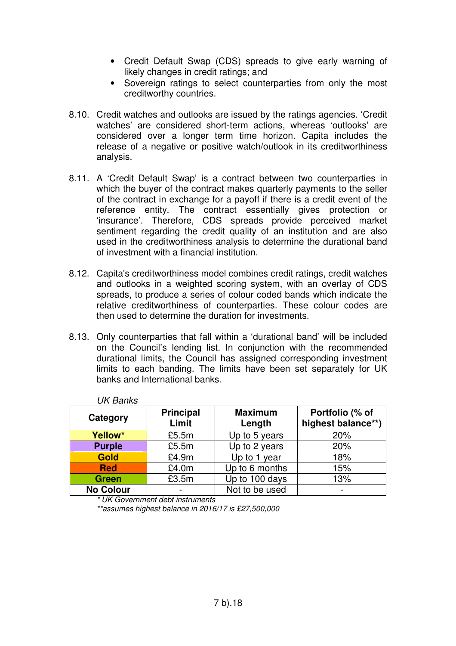- Credit Default Swap (CDS) spreads to give early warning of likely changes in credit ratings; and
- Sovereign ratings to select counterparties from only the most creditworthy countries.
- 8.10. Credit watches and outlooks are issued by the ratings agencies. 'Credit watches' are considered short-term actions, whereas 'outlooks' are considered over a longer term time horizon. Capita includes the release of a negative or positive watch/outlook in its creditworthiness analysis.
- 8.11. A 'Credit Default Swap' is a contract between two counterparties in which the buyer of the contract makes quarterly payments to the seller of the contract in exchange for a payoff if there is a credit event of the reference entity. The contract essentially gives protection or 'insurance'. Therefore, CDS spreads provide perceived market sentiment regarding the credit quality of an institution and are also used in the creditworthiness analysis to determine the durational band of investment with a financial institution.
- 8.12. Capita's creditworthiness model combines credit ratings, credit watches and outlooks in a weighted scoring system, with an overlay of CDS spreads, to produce a series of colour coded bands which indicate the relative creditworthiness of counterparties. These colour codes are then used to determine the duration for investments.
- 8.13. Only counterparties that fall within a 'durational band' will be included on the Council's lending list. In conjunction with the recommended durational limits, the Council has assigned corresponding investment limits to each banding. The limits have been set separately for UK banks and International banks.

| UN DAHNS         |                           |                          |                                       |
|------------------|---------------------------|--------------------------|---------------------------------------|
| Category         | <b>Principal</b><br>Limit | <b>Maximum</b><br>Length | Portfolio (% of<br>highest balance**) |
| Yellow*          | £5.5m                     | Up to 5 years            | 20%                                   |
| <b>Purple</b>    | £5.5m                     | Up to 2 years            | 20%                                   |
| <b>Gold</b>      | £4.9m                     | Up to 1 year             | 18%                                   |
| <b>Red</b>       | £4.0m                     | Up to 6 months           | 15%                                   |
| <b>Green</b>     | £3.5m                     | Up to 100 days           | 13%                                   |
| <b>No Colour</b> |                           | Not to be used           |                                       |

UK Banks

\* UK Government debt instruments

\*\*assumes highest balance in 2016/17 is £27,500,000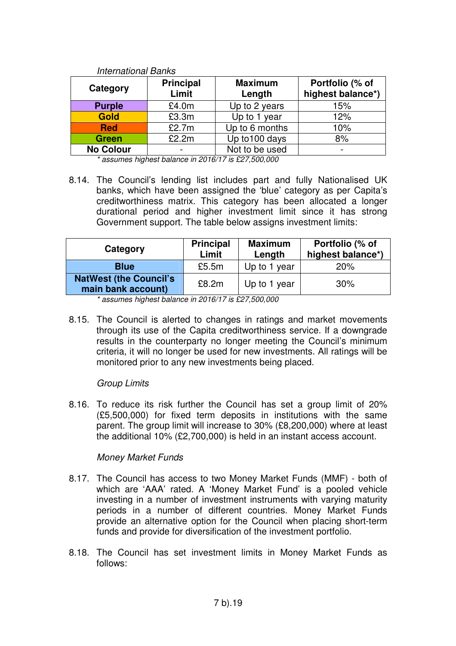| <del>יייינט ופו</del> וטווטווייטווו |                           |                          |                                      |
|-------------------------------------|---------------------------|--------------------------|--------------------------------------|
| Category                            | <b>Principal</b><br>Limit | <b>Maximum</b><br>Length | Portfolio (% of<br>highest balance*) |
| <b>Purple</b>                       | £4.0m                     | Up to 2 years            | 15%                                  |
| <b>Gold</b>                         | £3.3m                     | Up to 1 year             | 12%                                  |
| <b>Red</b>                          | £2.7m                     | Up to 6 months           | 10%                                  |
| <b>Green</b>                        | £2.2m                     | Up to 100 days           | 8%                                   |
| <b>No Colour</b>                    |                           | Not to be used           | $\overline{\phantom{0}}$             |
| .                                   | .<br>.                    |                          |                                      |

International Banks

\* assumes highest balance in 2016/17 is £27,500,000

8.14. The Council's lending list includes part and fully Nationalised UK banks, which have been assigned the 'blue' category as per Capita's creditworthiness matrix. This category has been allocated a longer durational period and higher investment limit since it has strong Government support. The table below assigns investment limits:

| Category                                             | <b>Principal</b><br>Limit | <b>Maximum</b><br>Length | Portfolio (% of<br>highest balance*) |
|------------------------------------------------------|---------------------------|--------------------------|--------------------------------------|
| <b>Blue</b>                                          | £5.5m                     | Up to 1 year             | 20%                                  |
| <b>NatWest (the Council's)</b><br>main bank account) | £8.2m                     | Up to 1 year             | 30%                                  |

\* assumes highest balance in 2016/17 is £27,500,000

8.15. The Council is alerted to changes in ratings and market movements through its use of the Capita creditworthiness service. If a downgrade results in the counterparty no longer meeting the Council's minimum criteria, it will no longer be used for new investments. All ratings will be monitored prior to any new investments being placed.

#### Group Limits

8.16. To reduce its risk further the Council has set a group limit of 20% (£5,500,000) for fixed term deposits in institutions with the same parent. The group limit will increase to 30% (£8,200,000) where at least the additional 10% (£2,700,000) is held in an instant access account.

#### Money Market Funds

- 8.17. The Council has access to two Money Market Funds (MMF) both of which are 'AAA' rated. A 'Money Market Fund' is a pooled vehicle investing in a number of investment instruments with varying maturity periods in a number of different countries. Money Market Funds provide an alternative option for the Council when placing short-term funds and provide for diversification of the investment portfolio.
- 8.18. The Council has set investment limits in Money Market Funds as follows: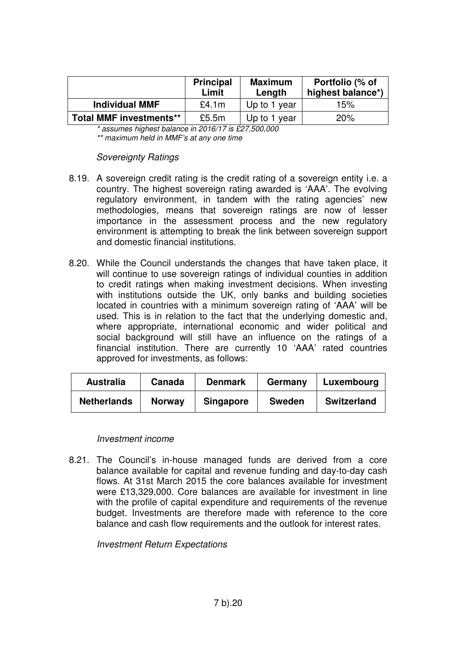|                                | <b>Principal</b><br>Limit | <b>Maximum</b><br>Length | Portfolio (% of<br>highest balance*) |
|--------------------------------|---------------------------|--------------------------|--------------------------------------|
| <b>Individual MMF</b>          | £4.1m                     | Up to 1 year             | 15%                                  |
| <b>Total MMF investments**</b> | £5.5m                     | Up to 1 year             | 20%                                  |

\* assumes highest balance in 2016/17 is £27,500,000 \*\* maximum held in MMF's at any one time

#### Sovereignty Ratings

- 8.19. A sovereign credit rating is the credit rating of a sovereign entity i.e. a country. The highest sovereign rating awarded is 'AAA'. The evolving regulatory environment, in tandem with the rating agencies' new methodologies, means that sovereign ratings are now of lesser importance in the assessment process and the new regulatory environment is attempting to break the link between sovereign support and domestic financial institutions.
- 8.20. While the Council understands the changes that have taken place, it will continue to use sovereign ratings of individual counties in addition to credit ratings when making investment decisions. When investing with institutions outside the UK, only banks and building societies located in countries with a minimum sovereign rating of 'AAA' will be used. This is in relation to the fact that the underlying domestic and, where appropriate, international economic and wider political and social background will still have an influence on the ratings of a financial institution. There are currently 10 'AAA' rated countries approved for investments, as follows:

| <b>Australia</b>   | Canada        | <b>Denmark</b>   | Germany       | Luxembourg         |
|--------------------|---------------|------------------|---------------|--------------------|
| <b>Netherlands</b> | <b>Norway</b> | <b>Singapore</b> | <b>Sweden</b> | <b>Switzerland</b> |

#### Investment income

8.21. The Council's in-house managed funds are derived from a core balance available for capital and revenue funding and day-to-day cash flows. At 31st March 2015 the core balances available for investment were £13,329,000. Core balances are available for investment in line with the profile of capital expenditure and requirements of the revenue budget. Investments are therefore made with reference to the core balance and cash flow requirements and the outlook for interest rates.

#### Investment Return Expectations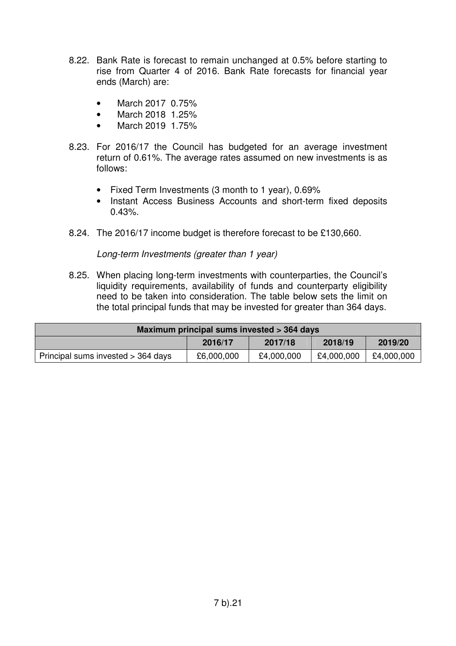- 8.22. Bank Rate is forecast to remain unchanged at 0.5% before starting to rise from Quarter 4 of 2016. Bank Rate forecasts for financial year ends (March) are:
	- March 20170.75%
	- March 2018 1.25%
	- March 2019 1.75%
- 8.23. For 2016/17 the Council has budgeted for an average investment return of 0.61%. The average rates assumed on new investments is as follows:
	- Fixed Term Investments (3 month to 1 year), 0.69%
	- Instant Access Business Accounts and short-term fixed deposits 0.43%.
- 8.24. The 2016/17 income budget is therefore forecast to be £130,660.

Long-term Investments (greater than 1 year)

8.25. When placing long-term investments with counterparties, the Council's liquidity requirements, availability of funds and counterparty eligibility need to be taken into consideration. The table below sets the limit on the total principal funds that may be invested for greater than 364 days.

| Maximum principal sums invested > 364 days                                                 |  |  |  |  |  |
|--------------------------------------------------------------------------------------------|--|--|--|--|--|
| 2018/19<br>2019/20<br>2016/17<br>2017/18                                                   |  |  |  |  |  |
| £4,000,000<br>£4,000,000<br>Principal sums invested > 364 days<br>£6,000,000<br>£4,000,000 |  |  |  |  |  |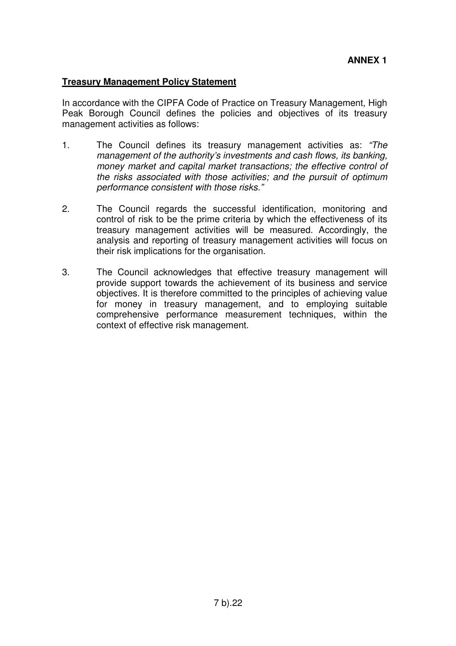#### **Treasury Management Policy Statement**

In accordance with the CIPFA Code of Practice on Treasury Management, High Peak Borough Council defines the policies and objectives of its treasury management activities as follows:

- 1. The Council defines its treasury management activities as: "The management of the authority's investments and cash flows, its banking, money market and capital market transactions; the effective control of the risks associated with those activities; and the pursuit of optimum performance consistent with those risks."
- 2. The Council regards the successful identification, monitoring and control of risk to be the prime criteria by which the effectiveness of its treasury management activities will be measured. Accordingly, the analysis and reporting of treasury management activities will focus on their risk implications for the organisation.
- 3. The Council acknowledges that effective treasury management will provide support towards the achievement of its business and service objectives. It is therefore committed to the principles of achieving value for money in treasury management, and to employing suitable comprehensive performance measurement techniques, within the context of effective risk management.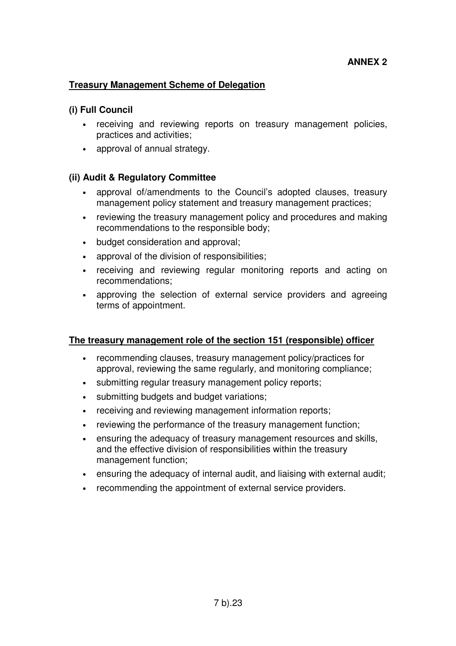### **Treasury Management Scheme of Delegation**

#### **(i) Full Council**

- receiving and reviewing reports on treasury management policies, practices and activities;
- approval of annual strategy.

#### **(ii) Audit & Regulatory Committee**

- approval of/amendments to the Council's adopted clauses, treasury management policy statement and treasury management practices;
- reviewing the treasury management policy and procedures and making recommendations to the responsible body;
- budget consideration and approval;
- approval of the division of responsibilities;
- receiving and reviewing regular monitoring reports and acting on recommendations;
- approving the selection of external service providers and agreeing terms of appointment.

#### **The treasury management role of the section 151 (responsible) officer**

- recommending clauses, treasury management policy/practices for approval, reviewing the same regularly, and monitoring compliance;
- submitting regular treasury management policy reports;
- submitting budgets and budget variations;
- receiving and reviewing management information reports;
- reviewing the performance of the treasury management function;
- ensuring the adequacy of treasury management resources and skills, and the effective division of responsibilities within the treasury management function;
- ensuring the adequacy of internal audit, and liaising with external audit;
- recommending the appointment of external service providers.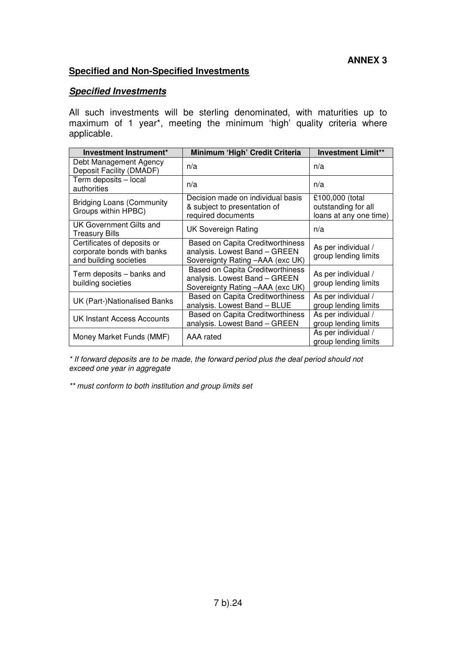### **Specified and Non-Specified Investments**

### **Specified Investments**

All such investments will be sterling denominated, with maturities up to maximum of 1 year\*, meeting the minimum 'high' quality criteria where applicable.

| Investment Instrument*                                                              | Minimum 'High' Credit Criteria                                                                               | <b>Investment Limit**</b>                                        |
|-------------------------------------------------------------------------------------|--------------------------------------------------------------------------------------------------------------|------------------------------------------------------------------|
| Debt Management Agency<br>Deposit Facility (DMADF)                                  | n/a                                                                                                          | n/a                                                              |
| Term deposits - local<br>authorities                                                | n/a                                                                                                          | n/a                                                              |
| <b>Bridging Loans (Community</b><br>Groups within HPBC)                             | Decision made on individual basis<br>& subject to presentation of<br>required documents                      | £100,000 (total<br>outstanding for all<br>loans at any one time) |
| UK Government Gilts and<br><b>Treasury Bills</b>                                    | <b>UK Sovereign Rating</b>                                                                                   | n/a                                                              |
| Certificates of deposits or<br>corporate bonds with banks<br>and building societies | <b>Based on Capita Creditworthiness</b><br>analysis. Lowest Band - GREEN<br>Sovereignty Rating -AAA (exc UK) | As per individual /<br>group lending limits                      |
| Term deposits – banks and<br>building societies                                     | <b>Based on Capita Creditworthiness</b><br>analysis. Lowest Band - GREEN<br>Sovereignty Rating -AAA (exc UK) | As per individual /<br>group lending limits                      |
| UK (Part-)Nationalised Banks                                                        | <b>Based on Capita Creditworthiness</b><br>analysis. Lowest Band - BLUE                                      | As per individual /<br>group lending limits                      |
| UK Instant Access Accounts                                                          | Based on Capita Creditworthiness<br>analysis. Lowest Band - GREEN                                            | As per individual /<br>group lending limits                      |
| Money Market Funds (MMF)                                                            | AAA rated                                                                                                    | As per individual /<br>group lending limits                      |

\* If forward deposits are to be made, the forward period plus the deal period should not exceed one year in aggregate

\*\* must conform to both institution and group limits set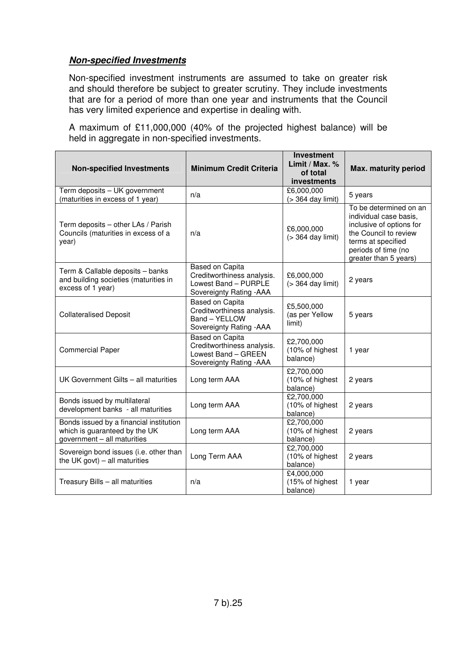### **Non-specified Investments**

Non-specified investment instruments are assumed to take on greater risk and should therefore be subject to greater scrutiny. They include investments that are for a period of more than one year and instruments that the Council has very limited experience and expertise in dealing with.

A maximum of £11,000,000 (40% of the projected highest balance) will be held in aggregate in non-specified investments.

| <b>Non-specified Investments</b>                                                                        | <b>Minimum Credit Criteria</b>                                                                    | <b>Investment</b><br>Limit / Max. %<br>of total<br>investments | Max. maturity period                                                                                                                                                        |
|---------------------------------------------------------------------------------------------------------|---------------------------------------------------------------------------------------------------|----------------------------------------------------------------|-----------------------------------------------------------------------------------------------------------------------------------------------------------------------------|
| Term deposits - UK government<br>(maturities in excess of 1 year)                                       | n/a                                                                                               | £6,000,000<br>(> 364 day limit)                                | 5 years                                                                                                                                                                     |
| Term deposits - other LAs / Parish<br>Councils (maturities in excess of a<br>year)                      | n/a                                                                                               | £6,000,000<br>$($ 364 day limit)                               | To be determined on an<br>individual case basis,<br>inclusive of options for<br>the Council to review<br>terms at specified<br>periods of time (no<br>greater than 5 years) |
| Term & Callable deposits - banks<br>and building societies (maturities in<br>excess of 1 year)          | Based on Capita<br>Creditworthiness analysis.<br>Lowest Band - PURPLE<br>Sovereignty Rating - AAA | £6,000,000<br>$($ 364 day limit)                               | 2 years                                                                                                                                                                     |
| <b>Collateralised Deposit</b>                                                                           | Based on Capita<br>Creditworthiness analysis.<br>Band - YELLOW<br>Sovereignty Rating - AAA        | £5,500,000<br>(as per Yellow<br>limit)                         | 5 years                                                                                                                                                                     |
| <b>Commercial Paper</b>                                                                                 | Based on Capita<br>Creditworthiness analysis.<br>Lowest Band - GREEN<br>Sovereignty Rating - AAA  | £2,700,000<br>(10% of highest<br>balance)                      | 1 year                                                                                                                                                                      |
| UK Government Gilts - all maturities                                                                    | Long term AAA                                                                                     | £2,700,000<br>(10% of highest<br>balance)                      | 2 years                                                                                                                                                                     |
| Bonds issued by multilateral<br>development banks - all maturities                                      | Long term AAA                                                                                     | £2,700,000<br>(10% of highest<br>balance)                      | 2 years                                                                                                                                                                     |
| Bonds issued by a financial institution<br>which is guaranteed by the UK<br>government - all maturities | Long term AAA                                                                                     | £2,700,000<br>(10% of highest<br>balance)                      | 2 years                                                                                                                                                                     |
| Sovereign bond issues (i.e. other than<br>the UK govt) $-$ all maturities                               | Long Term AAA                                                                                     | £2,700,000<br>(10% of highest<br>balance)                      | 2 years                                                                                                                                                                     |
| Treasury Bills - all maturities                                                                         | n/a                                                                                               | £4,000,000<br>(15% of highest<br>balance)                      | 1 year                                                                                                                                                                      |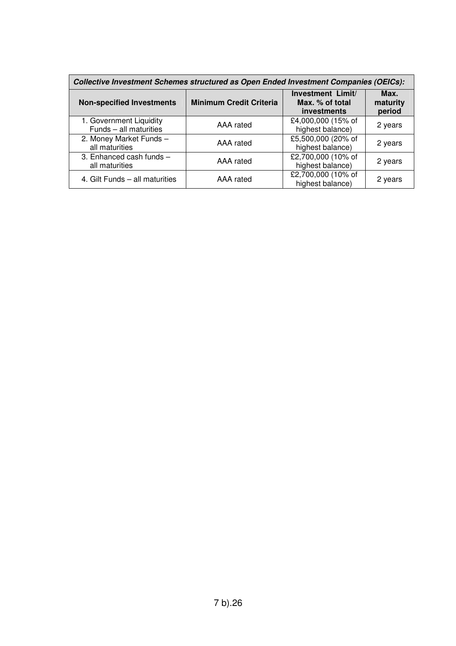| Collective Investment Schemes structured as Open Ended Investment Companies (OEICs): |                                |                                                            |                            |  |  |
|--------------------------------------------------------------------------------------|--------------------------------|------------------------------------------------------------|----------------------------|--|--|
| <b>Non-specified Investments</b>                                                     | <b>Minimum Credit Criteria</b> | Investment Limit/<br>Max. % of total<br><b>investments</b> | Max.<br>maturity<br>period |  |  |
| 1. Government Liquidity<br>Funds - all maturities                                    | AAA rated                      | £4,000,000 (15% of<br>highest balance)                     | 2 years                    |  |  |
| 2. Money Market Funds -<br>all maturities                                            | AAA rated                      | £5,500,000 (20% of<br>highest balance)                     | 2 years                    |  |  |
| 3. Enhanced cash funds -<br>all maturities                                           | AAA rated                      | £2,700,000 (10% of<br>highest balance)                     | 2 years                    |  |  |
| 4. Gilt Funds - all maturities                                                       | AAA rated                      | £2,700,000 (10% of<br>highest balance)                     | 2 years                    |  |  |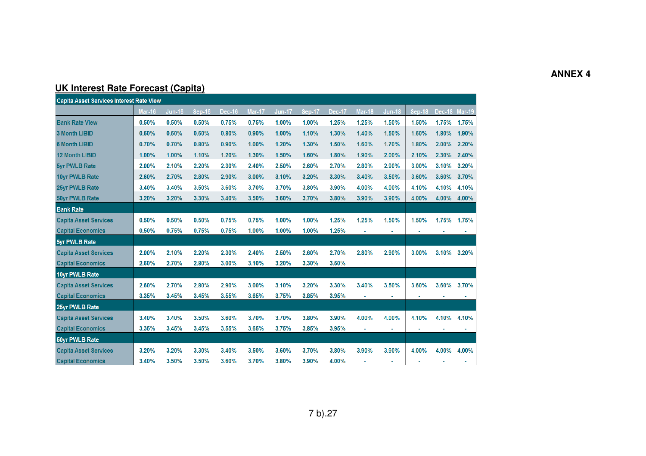### **ANNEX 4**

# **UK Interest Rate Forecast (Capita)**

| <b>Capita Asset Services Interest Rate View</b> |               |               |        |        |        |               |        |               |               |               |        |               |       |
|-------------------------------------------------|---------------|---------------|--------|--------|--------|---------------|--------|---------------|---------------|---------------|--------|---------------|-------|
|                                                 | <b>Mar-16</b> | <b>Jun-16</b> | Sep-16 | Dec-16 | Mar-17 | <b>Jun-17</b> | Sep-17 | <b>Dec-17</b> | <b>Mar-18</b> | <b>Jun-18</b> | Sep-18 | Dec-18 Mar-19 |       |
| <b>Bank Rate View</b>                           | 0.50%         | 0.50%         | 0.50%  | 0.75%  | 0.75%  | 1.00%         | 1.00%  | 1.25%         | 1.25%         | 1.50%         | 1.50%  | 1.75%         | 1.75% |
| <b>3 Month LIBID</b>                            | 0.50%         | 0.50%         | 0.60%  | 0.80%  | 0.90%  | 1.00%         | 1.10%  | 1.30%         | 1.40%         | 1.50%         | 1.60%  | 1.80%         | 1.90% |
| <b>6 Month LIBID</b>                            | 0.70%         | 0.70%         | 0.80%  | 0.90%  | 1.00%  | 1.20%         | 1.30%  | 1.50%         | 1.60%         | 1.70%         | 1.80%  | 2.00%         | 2.20% |
| <b>12 Month LIBID</b>                           | 1.00%         | 1.00%         | 1.10%  | 1.20%  | 1.30%  | 1.50%         | 1.60%  | 1.80%         | 1.90%         | 2.00%         | 2.10%  | 2.30%         | 2.40% |
| <b>5yr PWLB Rate</b>                            | 2.00%         | 2.10%         | 2.20%  | 2.30%  | 2.40%  | 2.50%         | 2.60%  | 2.70%         | 2.80%         | 2.90%         | 3.00%  | 3.10%         | 3.20% |
| 10yr PWLB Rate                                  | 2.60%         | 2.70%         | 2.80%  | 2.90%  | 3.00%  | 3.10%         | 3.20%  | 3.30%         | 3.40%         | 3.50%         | 3.60%  | 3.60%         | 3.70% |
| 25yr PWLB Rate                                  | 3.40%         | 3.40%         | 3.50%  | 3.60%  | 3.70%  | 3.70%         | 3.80%  | 3.90%         | 4.00%         | 4.00%         | 4.10%  | 4.10%         | 4.10% |
| <b>50yr PWLB Rate</b>                           | 3.20%         | 3.20%         | 3.30%  | 3.40%  | 3.50%  | 3.60%         | 3.70%  | 3.80%         | 3.90%         | 3.90%         | 4.00%  | 4.00%         | 4.00% |
| <b>Bank Rate</b>                                |               |               |        |        |        |               |        |               |               |               |        |               |       |
| <b>Capita Asset Services</b>                    | 0.50%         | 0.50%         | 0.50%  | 0.75%  | 0.75%  | 1.00%         | 1.00%  | 1.25%         | 1.25%         | 1.50%         | 1.50%  | 1.75%         | 1.75% |
| <b>Capital Economics</b>                        | 0.50%         | 0.75%         | 0.75%  | 0.75%  | 1.00%  | 1.00%         | 1.00%  | 1.25%         |               |               |        |               |       |
| 5yr PWLB Rate                                   |               |               |        |        |        |               |        |               |               |               |        |               |       |
| <b>Capita Asset Services</b>                    | 2.00%         | 2.10%         | 2.20%  | 2.30%  | 2.40%  | 2.50%         | 2.60%  | 2.70%         | 2.80%         | 2.90%         | 3.00%  | 3.10%         | 3.20% |
| <b>Capital Economics</b>                        | 2.60%         | 2.70%         | 2.80%  | 3.00%  | 3.10%  | 3.20%         | 3.30%  | 3.50%         |               |               |        |               |       |
| 10yr PWLB Rate                                  |               |               |        |        |        |               |        |               |               |               |        |               |       |
| <b>Capita Asset Services</b>                    | 2.60%         | 2.70%         | 2.80%  | 2.90%  | 3.00%  | 3.10%         | 3.20%  | 3.30%         | 3.40%         | 3.50%         | 3.60%  | 3.60%         | 3.70% |
| <b>Capital Economics</b>                        | 3.35%         | 3.45%         | 3.45%  | 3.55%  | 3.65%  | 3.75%         | 3.85%  | 3.95%         |               |               |        |               |       |
| 25yr PWLB Rate                                  |               |               |        |        |        |               |        |               |               |               |        |               |       |
| <b>Capita Asset Services</b>                    | 3.40%         | 3.40%         | 3.50%  | 3.60%  | 3.70%  | 3.70%         | 3.80%  | 3.90%         | 4.00%         | 4.00%         | 4.10%  | 4.10%         | 4.10% |
| <b>Capital Economics</b>                        | 3.35%         | 3.45%         | 3.45%  | 3.55%  | 3.65%  | 3.75%         | 3.85%  | 3.95%         | ä,            |               |        |               |       |
| 50yr PWLB Rate                                  |               |               |        |        |        |               |        |               |               |               |        |               |       |
| <b>Capita Asset Services</b>                    | 3.20%         | 3.20%         | 3.30%  | 3.40%  | 3.50%  | 3.60%         | 3.70%  | 3.80%         | 3.90%         | 3.90%         | 4.00%  | 4.00%         | 4.00% |
| <b>Capital Economics</b>                        | 3.40%         | 3.50%         | 3.50%  | 3.60%  | 3.70%  | 3.80%         | 3.90%  | 4.00%         |               |               |        |               |       |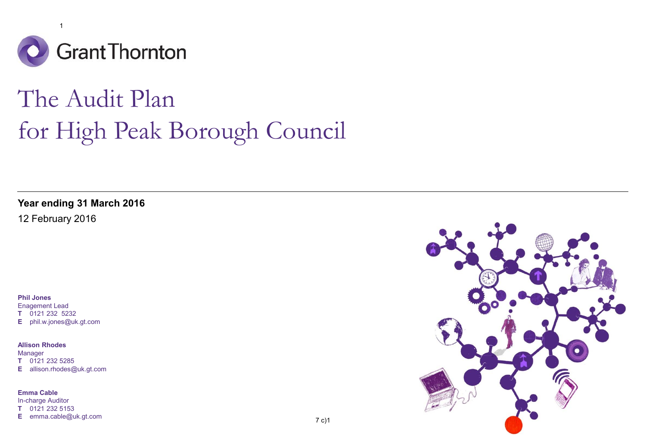

# The Audit Plan for High Peak Borough Council

**Year ending 31 March 2016**

12 February 2016

**Phil Jones**

Enagement Lead **T** 0121 232 5232 **E** phil.w.jones@uk.gt.com

#### **Allison Rhodes**

Manager **T** 0121 232 5285 **E** allison.rhodes@uk.gt.com

**Emma Cable**

In-charge Auditor **T** 0121 232 5153 **E** emma.cable@uk.gt.com

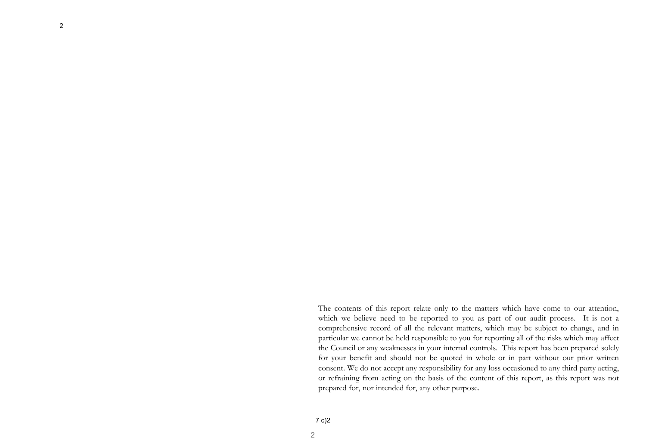2

The contents of this report relate only to the matters which have come to our attention, which we believe need to be reported to you as part of our audit process. It is not a comprehensive record of all the relevant matters, which may be subject to change, and in particular we cannot be held responsible to you for reporting all of the risks which may affect the Council or any weaknesses in your internal controls. This report has been prepared solely for your benefit and should not be quoted in whole or in part without our prior written consent. We do not accept any responsibility for any loss occasioned to any third party acting, or refraining from acting on the basis of the content of this report, as this report was not prepared for, nor intended for, any other purpose.

2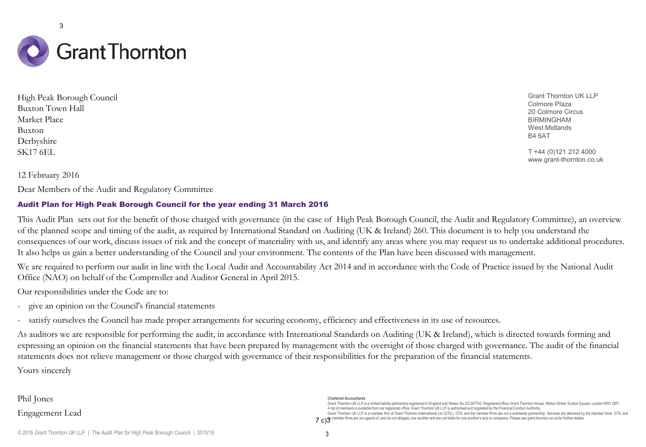

High Peak Borough Council Buxton Town Hall Market Place Buxton Derbyshire SK17 6EL

Grant Thornton UK LLP Colmore Plaza 20 Colmore Circus BIRMINGHAM West Midlands B4 6AT

T +44 (0)121 212 4000 www.grant-thornton.co.uk

12 February 2016

Dear Members of the Audit and Regulatory Committee

#### Audit Plan for High Peak Borough Council for the year ending 31 March 2016

This Audit Plan sets out for the benefit of those charged with governance (in the case of High Peak Borough Council, the Audit and Regulatory Committee), an overview of the planned scope and timing of the audit, as required by International Standard on Auditing (UK & Ireland) 260. This document is to help you understand the consequences of our work, discuss issues of risk and the concept of materiality with us, and identify any areas where you may request us to undertake additional procedures. It also helps us gain a better understanding of the Council and your environment. The contents of the Plan have been discussed with management.

We are required to perform our audit in line with the Local Audit and Accountability Act 2014 and in accordance with the Code of Practice issued by the National Audit Office (NAO) on behalf of the Comptroller and Auditor General in April 2015.

Our responsibilities under the Code are to:

- give an opinion on the Council's financial statements

- satisfy ourselves the Council has made proper arrangements for securing economy, efficiency and effectiveness in its use of resources.

As auditors we are responsible for performing the audit, in accordance with International Standards on Auditing (UK & Ireland), which is directed towards forming and expressing an opinion on the financial statements that have been prepared by management with the oversight of those charged with governance. The audit of the financial statements does not relieve management or those charged with governance of their responsibilities for the preparation of the financial statements.

Yours sincerely

Phil Jones Engagement Lead

#### **Chartered Accountants**

Grant Thomton UK LLP is a limited liability partnership registered in England and Wales: No.OC307742. Registered office: Grant Thomton House, Melton Street, Euston Square, London NW1 2EP. A list of members is available from our registered office.Grant Thornton UK LLP is authorised and regulated by the Financial Conduct Authority. Grant Thornton UK LLP is a member firm of Grant Thornton International Ltd (GTIL). GTIL and the member firms are not a worldwide partnership. Services are delivered by the member firms. GTIL and  $7\,\rm c)$  is member firms are not agents of, and do not obligate, one another and are not liable for one another's acts or omissions. Please see grant-thomton.co.uk for further details.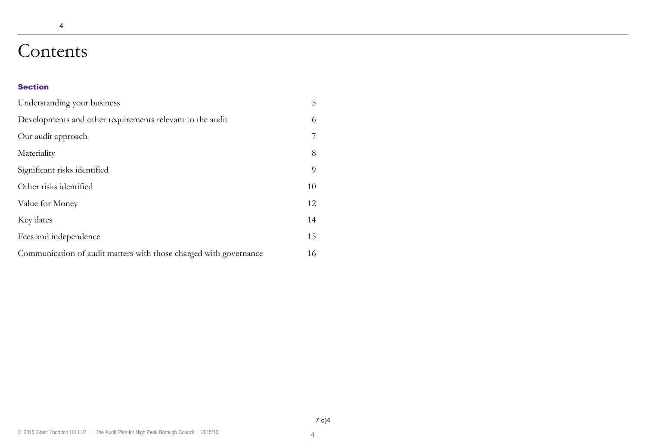# Contents

4

#### Section

| Understanding your business                                       | 5  |
|-------------------------------------------------------------------|----|
| Developments and other requirements relevant to the audit         | 6  |
| Our audit approach                                                | 7  |
| Materiality                                                       | 8  |
| Significant risks identified                                      | 9  |
| Other risks identified                                            | 10 |
| Value for Money                                                   | 12 |
| Key dates                                                         | 14 |
| Fees and independence                                             | 15 |
| Communication of audit matters with those charged with governance | 16 |

4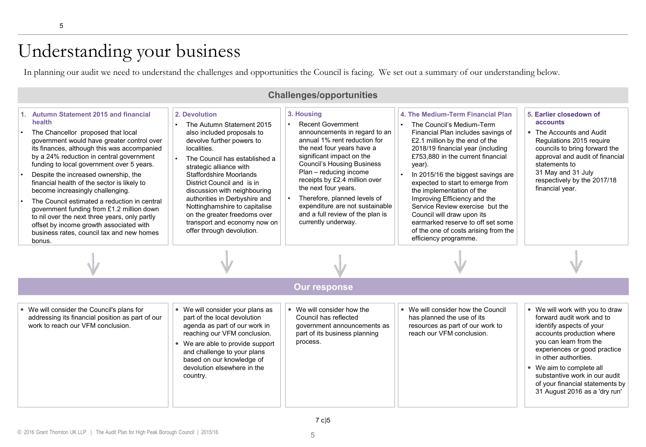# Understanding your business

In planning our audit we need to understand the challenges and opportunities the Council is facing. We set out a summary of our understanding below.

| <b>Challenges/opportunities</b>                                                                                                                                                                                                                                                                                                                                                                                                                                                                                                                                                                                                                                                                                                                                                                                                                                                                                                                                                                                                                                                                                       |  |                                                                                                                                                                                                                                                                                                                                                                                                                          |                                                                                                                                                                                                                                                                                                                                                                                                                                                                                                                                          |                                                                                                                                                                                                                                                          |  |  |  |
|-----------------------------------------------------------------------------------------------------------------------------------------------------------------------------------------------------------------------------------------------------------------------------------------------------------------------------------------------------------------------------------------------------------------------------------------------------------------------------------------------------------------------------------------------------------------------------------------------------------------------------------------------------------------------------------------------------------------------------------------------------------------------------------------------------------------------------------------------------------------------------------------------------------------------------------------------------------------------------------------------------------------------------------------------------------------------------------------------------------------------|--|--------------------------------------------------------------------------------------------------------------------------------------------------------------------------------------------------------------------------------------------------------------------------------------------------------------------------------------------------------------------------------------------------------------------------|------------------------------------------------------------------------------------------------------------------------------------------------------------------------------------------------------------------------------------------------------------------------------------------------------------------------------------------------------------------------------------------------------------------------------------------------------------------------------------------------------------------------------------------|----------------------------------------------------------------------------------------------------------------------------------------------------------------------------------------------------------------------------------------------------------|--|--|--|
| <b>Autumn Statement 2015 and financial</b><br>2. Devolution<br>11.<br>health<br>The Autumn Statement 2015<br>The Chancellor proposed that local<br>also included proposals to<br>devolve further powers to<br>government would have greater control over<br>its finances, although this was accompanied<br>localities.<br>by a 24% reduction in central government<br>The Council has established a<br>funding to local government over 5 years.<br>strategic alliance with<br>Despite the increased ownership, the<br><b>Staffordshire Moorlands</b><br>financial health of the sector is likely to<br>District Council and is in<br>become increasingly challenging.<br>discussion with neighbouring<br>authorities in Derbyshire and<br>The Council estimated a reduction in central<br>Nottinghamshire to capitalise<br>government funding from £1.2 million down<br>on the greater freedoms over<br>to nil over the next three years, only partly<br>transport and economy now on<br>offset by income growth associated with<br>offer through devolution.<br>business rates, council tax and new homes<br>bonus. |  | 3. Housing<br><b>Recent Government</b><br>announcements in regard to an<br>annual 1% rent reduction for<br>the next four years have a<br>significant impact on the<br><b>Council's Housing Business</b><br>Plan - reducing income<br>receipts by £2.4 million over<br>the next four years.<br>Therefore, planned levels of<br>expenditure are not sustainable<br>and a full review of the plan is<br>currently underway. | 4. The Medium-Term Financial Plan<br>The Council's Medium-Term<br>Financial Plan includes savings of<br>£2.1 million by the end of the<br>2018/19 financial year (including<br>£753,880 in the current financial<br>year).<br>In 2015/16 the biggest savings are<br>expected to start to emerge from<br>the implementation of the<br>Improving Efficiency and the<br>Service Review exercise but the<br>Council will draw upon its<br>earmarked reserve to off set some<br>of the one of costs arising from the<br>efficiency programme. | 5. Earlier closedown of<br>accounts<br>• The Accounts and Audit<br>Regulations 2015 reguire<br>councils to bring forward the<br>approval and audit of financial<br>statements to<br>31 May and 31 July<br>respectively by the 2017/18<br>financial year. |  |  |  |
|                                                                                                                                                                                                                                                                                                                                                                                                                                                                                                                                                                                                                                                                                                                                                                                                                                                                                                                                                                                                                                                                                                                       |  |                                                                                                                                                                                                                                                                                                                                                                                                                          |                                                                                                                                                                                                                                                                                                                                                                                                                                                                                                                                          |                                                                                                                                                                                                                                                          |  |  |  |
|                                                                                                                                                                                                                                                                                                                                                                                                                                                                                                                                                                                                                                                                                                                                                                                                                                                                                                                                                                                                                                                                                                                       |  |                                                                                                                                                                                                                                                                                                                                                                                                                          |                                                                                                                                                                                                                                                                                                                                                                                                                                                                                                                                          |                                                                                                                                                                                                                                                          |  |  |  |
|                                                                                                                                                                                                                                                                                                                                                                                                                                                                                                                                                                                                                                                                                                                                                                                                                                                                                                                                                                                                                                                                                                                       |  | <b>Our response</b>                                                                                                                                                                                                                                                                                                                                                                                                      |                                                                                                                                                                                                                                                                                                                                                                                                                                                                                                                                          |                                                                                                                                                                                                                                                          |  |  |  |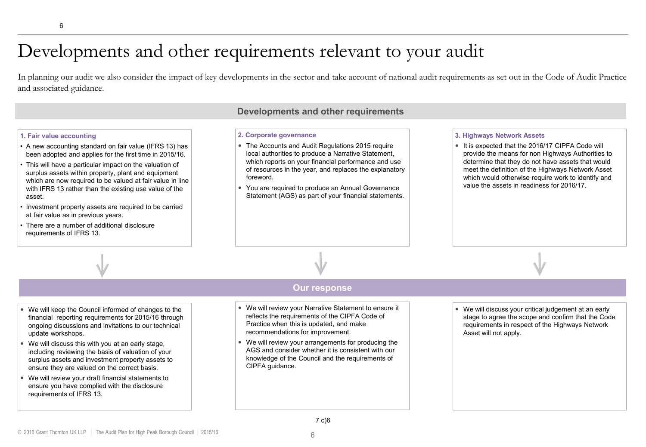# Developments and other requirements relevant to your audit

In planning our audit we also consider the impact of key developments in the sector and take account of national audit requirements as set out in the Code of Audit Practice and associated guidance.

#### **Developments and other requirements**

#### **1. Fair value accounting**

- A new accounting standard on fair value (IFRS 13) has been adopted and applies for the first time in 2015/16.
- This will have a particular impact on the valuation of surplus assets within property, plant and equipment which are now required to be valued at fair value in line with IFRS 13 rather than the existing use value of the asset.
- Investment property assets are required to be carried at fair value as in previous years.
- There are a number of additional disclosure requirements of IFRS 13.

#### **2. Corporate governance**

- The Accounts and Audit Regulations 2015 require local authorities to produce a Narrative Statement, which reports on your financial performance and use of resources in the year, and replaces the explanatory foreword.
- You are required to produce an Annual Governance Statement (AGS) as part of your financial statements.

#### **3. Highways Network Assets**

• It is expected that the 2016/17 CIPFA Code will provide the means for non Highways Authorities to determine that they do not have assets that would meet the definition of the Highways Network Asset which would otherwise require work to identify and value the assets in readiness for 2016/17.



#### **Our response**

- We will keep the Council informed of changes to the financial reporting requirements for 2015/16 through ongoing discussions and invitations to our technical update workshops.
- We will discuss this with you at an early stage, including reviewing the basis of valuation of your surplus assets and investment property assets to ensure they are valued on the correct basis.
- We will review your draft financial statements to ensure you have complied with the disclosure requirements of IFRS 13.
- We will review your Narrative Statement to ensure it reflects the requirements of the CIPFA Code of Practice when this is updated, and make recommendations for improvement.
- We will review your arrangements for producing the AGS and consider whether it is consistent with our knowledge of the Council and the requirements of CIPFA guidance.

 We will discuss your critical judgement at an early stage to agree the scope and confirm that the Code requirements in respect of the Highways Network Asset will not apply.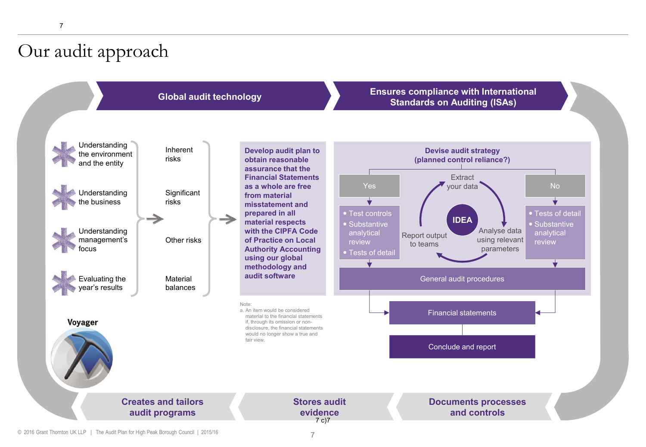# Our audit approach



#### **Global audit technology Ensures compliance with International Standards on Auditing (ISAs)**



© 2016 Grant Thornton UK LLP | The Audit Plan for High Peak Borough Council | 2015/16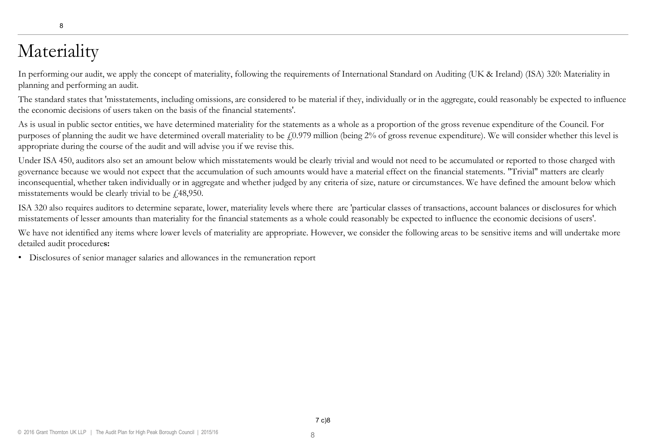# Materiality

In performing our audit, we apply the concept of materiality, following the requirements of International Standard on Auditing (UK & Ireland) (ISA) 320: Materiality in planning and performing an audit.

The standard states that 'misstatements, including omissions, are considered to be material if they, individually or in the aggregate, could reasonably be expected to influence the economic decisions of users taken on the basis of the financial statements'.

As is usual in public sector entities, we have determined materiality for the statements as a whole as a proportion of the gross revenue expenditure of the Council. For purposes of planning the audit we have determined overall materiality to be  $\ell$ 0.979 million (being 2% of gross revenue expenditure). We will consider whether this level is appropriate during the course of the audit and will advise you if we revise this.

Under ISA 450, auditors also set an amount below which misstatements would be clearly trivial and would not need to be accumulated or reported to those charged with governance because we would not expect that the accumulation of such amounts would have a material effect on the financial statements. "Trivial" matters are clearly inconsequential, whether taken individually or in aggregate and whether judged by any criteria of size, nature or circumstances. We have defined the amount below which misstatements would be clearly trivial to be  $\ell$ , 48,950.

ISA 320 also requires auditors to determine separate, lower, materiality levels where there are 'particular classes of transactions, account balances or disclosures for which misstatements of lesser amounts than materiality for the financial statements as a whole could reasonably be expected to influence the economic decisions of users'.

We have not identified any items where lower levels of materiality are appropriate. However, we consider the following areas to be sensitive items and will undertake more detailed audit procedure**s:**

• Disclosures of senior manager salaries and allowances in the remuneration report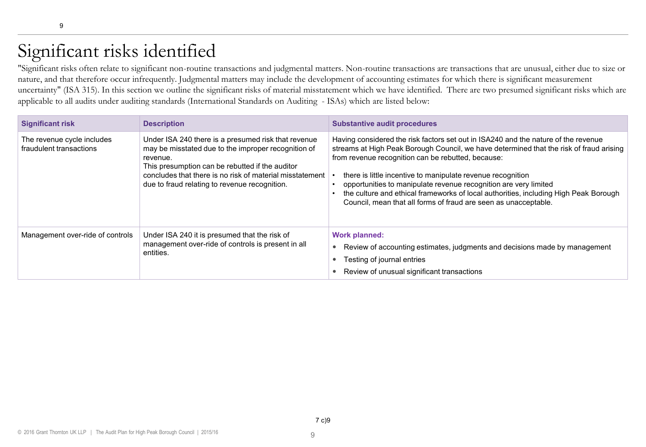# Significant risks identified

"Significant risks often relate to significant non-routine transactions and judgmental matters. Non-routine transactions are transactions that are unusual, either due to size or nature, and that therefore occur infrequently. Judgmental matters may include the development of accounting estimates for which there is significant measurement uncertainty" (ISA 315). In this section we outline the significant risks of material misstatement which we have identified. There are two presumed significant risks which are applicable to all audits under auditing standards (International Standards on Auditing - ISAs) which are listed below:

| <b>Significant risk</b>                               | <b>Description</b>                                                                                                                                                                                                                                                                     | <b>Substantive audit procedures</b>                                                                                                                                                                                                                                                                                                                                                                                                                                                                                               |
|-------------------------------------------------------|----------------------------------------------------------------------------------------------------------------------------------------------------------------------------------------------------------------------------------------------------------------------------------------|-----------------------------------------------------------------------------------------------------------------------------------------------------------------------------------------------------------------------------------------------------------------------------------------------------------------------------------------------------------------------------------------------------------------------------------------------------------------------------------------------------------------------------------|
| The revenue cycle includes<br>fraudulent transactions | Under ISA 240 there is a presumed risk that revenue<br>may be misstated due to the improper recognition of<br>revenue.<br>This presumption can be rebutted if the auditor<br>concludes that there is no risk of material misstatement<br>due to fraud relating to revenue recognition. | Having considered the risk factors set out in ISA240 and the nature of the revenue<br>streams at High Peak Borough Council, we have determined that the risk of fraud arising<br>from revenue recognition can be rebutted, because:<br>there is little incentive to manipulate revenue recognition<br>opportunities to manipulate revenue recognition are very limited<br>the culture and ethical frameworks of local authorities, including High Peak Borough<br>Council, mean that all forms of fraud are seen as unacceptable. |
| Management over-ride of controls                      | Under ISA 240 it is presumed that the risk of<br>management over-ride of controls is present in all<br>entities.                                                                                                                                                                       | <b>Work planned:</b><br>Review of accounting estimates, judgments and decisions made by management<br>Testing of journal entries<br>Review of unusual significant transactions                                                                                                                                                                                                                                                                                                                                                    |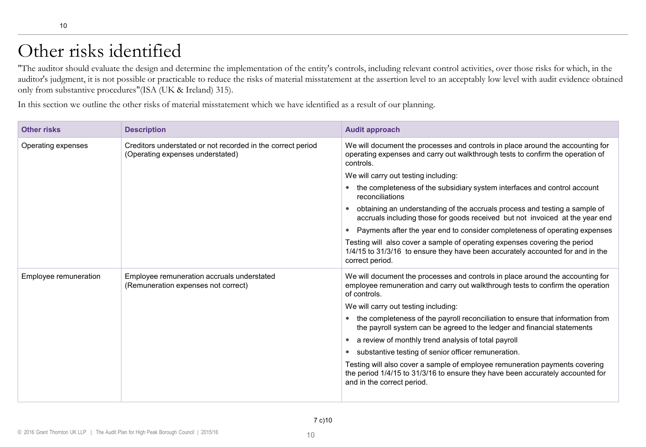# Other risks identified

"The auditor should evaluate the design and determine the implementation of the entity's controls, including relevant control activities, over those risks for which, in the auditor's judgment, it is not possible or practicable to reduce the risks of material misstatement at the assertion level to an acceptably low level with audit evidence obtained only from substantive procedures"(ISA (UK & Ireland) 315).

In this section we outline the other risks of material misstatement which we have identified as a result of our planning.

| <b>Other risks</b>    | <b>Description</b>                                                                              | <b>Audit approach</b>                                                                                                                                                                       |
|-----------------------|-------------------------------------------------------------------------------------------------|---------------------------------------------------------------------------------------------------------------------------------------------------------------------------------------------|
| Operating expenses    | Creditors understated or not recorded in the correct period<br>(Operating expenses understated) | We will document the processes and controls in place around the accounting for<br>operating expenses and carry out walkthrough tests to confirm the operation of<br>controls.               |
|                       |                                                                                                 | We will carry out testing including:                                                                                                                                                        |
|                       |                                                                                                 | the completeness of the subsidiary system interfaces and control account<br>$\bullet$<br>reconciliations                                                                                    |
|                       |                                                                                                 | obtaining an understanding of the accruals process and testing a sample of<br>accruals including those for goods received but not invoiced at the year end                                  |
|                       |                                                                                                 | Payments after the year end to consider completeness of operating expenses                                                                                                                  |
|                       |                                                                                                 | Testing will also cover a sample of operating expenses covering the period<br>1/4/15 to 31/3/16 to ensure they have been accurately accounted for and in the<br>correct period.             |
| Employee remuneration | Employee remuneration accruals understated<br>(Remuneration expenses not correct)               | We will document the processes and controls in place around the accounting for<br>employee remuneration and carry out walkthrough tests to confirm the operation<br>of controls.            |
|                       |                                                                                                 | We will carry out testing including:                                                                                                                                                        |
|                       |                                                                                                 | the completeness of the payroll reconciliation to ensure that information from<br>$\bullet$<br>the payroll system can be agreed to the ledger and financial statements                      |
|                       |                                                                                                 | a review of monthly trend analysis of total payroll<br>$\bullet$                                                                                                                            |
|                       |                                                                                                 | substantive testing of senior officer remuneration.                                                                                                                                         |
|                       |                                                                                                 | Testing will also cover a sample of employee remuneration payments covering<br>the period 1/4/15 to 31/3/16 to ensure they have been accurately accounted for<br>and in the correct period. |
|                       |                                                                                                 |                                                                                                                                                                                             |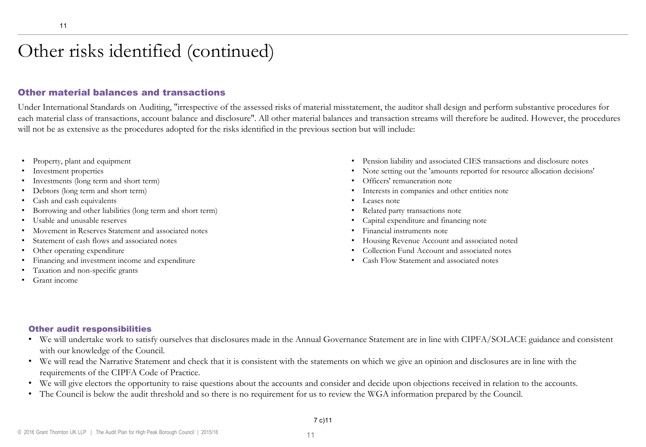# Other risks identified (continued)

#### Other material balances and transactions

Under International Standards on Auditing, "irrespective of the assessed risks of material misstatement, the auditor shall design and perform substantive procedures for each material class of transactions, account balance and disclosure". All other material balances and transaction streams will therefore be audited. However, the procedures will not be as extensive as the procedures adopted for the risks identified in the previous section but will include:

- Property, plant and equipment
- Investment properties
- Investments (long term and short term)
- Debtors (long term and short term)
- Cash and cash equivalents
- Borrowing and other liabilities (long term and short term)
- Usable and unusable reserves
- Movement in Reserves Statement and associated notes
- Statement of cash flows and associated notes
- Other operating expenditure
- Financing and investment income and expenditure
- Taxation and non-specific grants
- Grant income
- Pension liability and associated CIES transactions and disclosure notes
- Note setting out the 'amounts reported for resource allocation decisions'
- Officers' remuneration note
- Interests in companies and other entities note
- Leases note
- Related party transactions note
- Capital expenditure and financing note
- Financial instruments note
- Housing Revenue Account and associated noted
- Collection Fund Account and associated notes
- Cash Flow Statement and associated notes

#### Other audit responsibilities

- We will undertake work to satisfy ourselves that disclosures made in the Annual Governance Statement are in line with CIPFA/SOLACE guidance and consistent with our knowledge of the Council.
- We will read the Narrative Statement and check that it is consistent with the statements on which we give an opinion and disclosures are in line with the requirements of the CIPFA Code of Practice.
- We will give electors the opportunity to raise questions about the accounts and consider and decide upon objections received in relation to the accounts.
- The Council is below the audit threshold and so there is no requirement for us to review the WGA information prepared by the Council.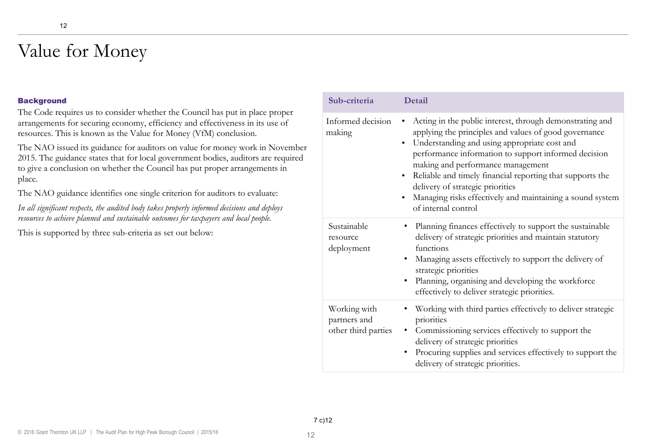# Value for Money

#### **Background**

The Code requires us to consider whether the Council has put in place proper arrangements for securing economy, efficiency and effectiveness in its use of resources. This is known as the Value for Money (VfM) conclusion.

The NAO issued its guidance for auditors on value for money work in November 2015. The guidance states that for local government bodies, auditors are required to give a conclusion on whether the Council has put proper arrangements in place.

The NAO guidance identifies one single criterion for auditors to evaluate:

*In all significant respects, the audited body takes properly informed decisions and deploys resources to achieve planned and sustainable outcomes for taxpayers and local people.* 

This is supported by three sub-criteria as set out below:

| Sub-criteria                                        | Detail                                                                                                                                                                                                                                                                                                                                                                                                                                                                                     |
|-----------------------------------------------------|--------------------------------------------------------------------------------------------------------------------------------------------------------------------------------------------------------------------------------------------------------------------------------------------------------------------------------------------------------------------------------------------------------------------------------------------------------------------------------------------|
| Informed decision<br>making                         | Acting in the public interest, through demonstrating and<br>$\bullet$<br>applying the principles and values of good governance<br>Understanding and using appropriate cost and<br>$\bullet$<br>performance information to support informed decision<br>making and performance management<br>Reliable and timely financial reporting that supports the<br>delivery of strategic priorities<br>Managing risks effectively and maintaining a sound system<br>$\bullet$<br>of internal control |
| Sustainable<br>resource<br>deployment               | · Planning finances effectively to support the sustainable<br>delivery of strategic priorities and maintain statutory<br>functions<br>• Managing assets effectively to support the delivery of<br>strategic priorities<br>Planning, organising and developing the workforce<br>$\bullet$<br>effectively to deliver strategic priorities.                                                                                                                                                   |
| Working with<br>partners and<br>other third parties | • Working with third parties effectively to deliver strategic<br>priorities<br>Commissioning services effectively to support the<br>$\bullet$<br>delivery of strategic priorities<br>Procuring supplies and services effectively to support the<br>$\bullet$<br>delivery of strategic priorities.                                                                                                                                                                                          |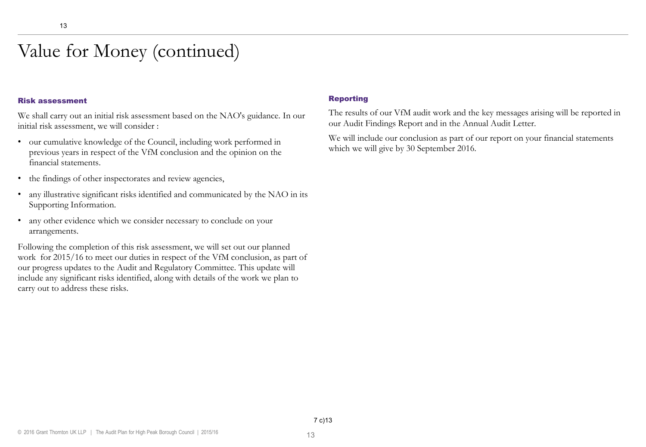# Value for Money (continued)

#### Risk assessment

We shall carry out an initial risk assessment based on the NAO's guidance. In our initial risk assessment, we will consider :

- our cumulative knowledge of the Council, including work performed in previous years in respect of the VfM conclusion and the opinion on the financial statements.
- the findings of other inspectorates and review agencies,
- any illustrative significant risks identified and communicated by the NAO in its Supporting Information.
- any other evidence which we consider necessary to conclude on your arrangements.

Following the completion of this risk assessment, we will set out our planned work for 2015/16 to meet our duties in respect of the VfM conclusion, as part of our progress updates to the Audit and Regulatory Committee. This update will include any significant risks identified, along with details of the work we plan to carry out to address these risks.

#### Reporting

The results of our VfM audit work and the key messages arising will be reported in our Audit Findings Report and in the Annual Audit Letter.

We will include our conclusion as part of our report on your financial statements which we will give by 30 September 2016.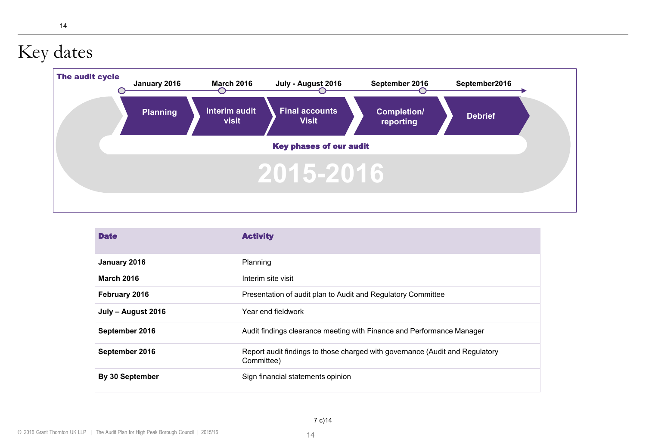# Key dates



| <b>Date</b>        | <b>Activity</b>                                                                            |
|--------------------|--------------------------------------------------------------------------------------------|
| January 2016       | Planning                                                                                   |
| <b>March 2016</b>  | Interim site visit                                                                         |
| February 2016      | Presentation of audit plan to Audit and Regulatory Committee                               |
| July - August 2016 | Year end fieldwork                                                                         |
| September 2016     | Audit findings clearance meeting with Finance and Performance Manager                      |
| September 2016     | Report audit findings to those charged with governance (Audit and Regulatory<br>Committee) |
| By 30 September    | Sign financial statements opinion                                                          |

14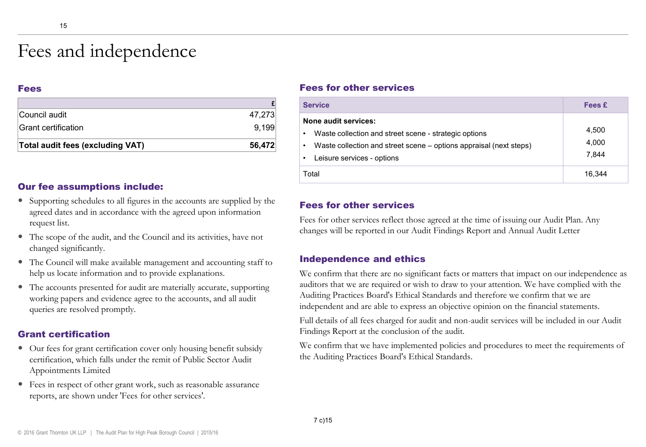# Fees and independence

#### Fees

| Council audit                    | 47.273 |
|----------------------------------|--------|
| Grant certification              | 9.199  |
| Total audit fees (excluding VAT) | 56.472 |

#### Our fee assumptions include:

- Supporting schedules to all figures in the accounts are supplied by the agreed dates and in accordance with the agreed upon information request list.
- The scope of the audit, and the Council and its activities, have not changed significantly.
- The Council will make available management and accounting staff to help us locate information and to provide explanations.
- The accounts presented for audit are materially accurate, supporting working papers and evidence agree to the accounts, and all audit queries are resolved promptly.

#### Grant certification

- Our fees for grant certification cover only housing benefit subsidy certification, which falls under the remit of Public Sector Audit Appointments Limited
- Fees in respect of other grant work, such as reasonable assurance reports, are shown under 'Fees for other services'.

#### Fees for other services

| <b>Service</b>                                                                                                                                                                              | Fees £                  |
|---------------------------------------------------------------------------------------------------------------------------------------------------------------------------------------------|-------------------------|
| None audit services:<br>Waste collection and street scene - strategic options<br>٠<br>Waste collection and street scene – options appraisal (next steps)<br>٠<br>Leisure services - options | 4,500<br>4.000<br>7.844 |
| Total                                                                                                                                                                                       | 16.344                  |

#### Fees for other services

Fees for other services reflect those agreed at the time of issuing our Audit Plan. Any changes will be reported in our Audit Findings Report and Annual Audit Letter

#### Independence and ethics

We confirm that there are no significant facts or matters that impact on our independence as auditors that we are required or wish to draw to your attention. We have complied with the Auditing Practices Board's Ethical Standards and therefore we confirm that we are independent and are able to express an objective opinion on the financial statements.

Full details of all fees charged for audit and non-audit services will be included in our Audit Findings Report at the conclusion of the audit.

We confirm that we have implemented policies and procedures to meet the requirements of the Auditing Practices Board's Ethical Standards.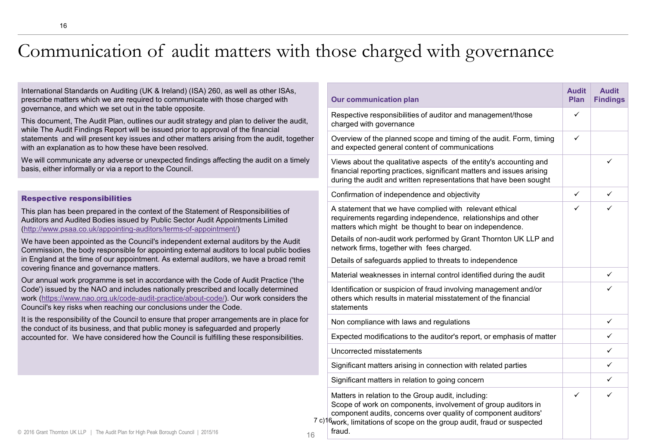# Communication of audit matters with those charged with governance

16

International Standards on Auditing (UK & Ireland) (ISA) 260, as well as other ISAs, prescribe matters which we are required to communicate with those charged with governance, and which we set out in the table opposite.

This document, The Audit Plan, outlines our audit strategy and plan to deliver the audit, while The Audit Findings Report will be issued prior to approval of the financial statements and will present key issues and other matters arising from the audit, together with an explanation as to how these have been resolved.

We will communicate any adverse or unexpected findings affecting the audit on a timely basis, either informally or via a report to the Council.

#### Respective responsibilities

This plan has been prepared in the context of the Statement of Responsibilities of Auditors and Audited Bodies issued by Public Sector Audit Appointments Limited ([http://www.psaa.co.uk/appointing-auditors/terms-of-appointment/\)](http://www.psaa.co.uk/appointing-auditors/terms-of-appointment/)

We have been appointed as the Council's independent external auditors by the Audit Commission, the body responsible for appointing external auditors to local public bodies in England at the time of our appointment. As external auditors, we have a broad remit covering finance and governance matters.

Our annual work programme is set in accordance with the Code of Audit Practice ('the Code') issued by the NAO and includes nationally prescribed and locally determined work [\(https://www.nao.org.uk/code-audit-practice/about-code/](https://www.nao.org.uk/code-audit-practice/about-code/)). Our work considers the Council's key risks when reaching our conclusions under the Code.

It is the responsibility of the Council to ensure that proper arrangements are in place for the conduct of its business, and that public money is safeguarded and properly accounted for. We have considered how the Council is fulfilling these responsibilities.

|  | <b>Our communication plan</b>                                                                                                                                                                                                                                                           | <b>Audit</b><br>Plan | <b>Audit</b><br><b>Findings</b> |
|--|-----------------------------------------------------------------------------------------------------------------------------------------------------------------------------------------------------------------------------------------------------------------------------------------|----------------------|---------------------------------|
|  | Respective responsibilities of auditor and management/those<br>charged with governance                                                                                                                                                                                                  | ✓                    |                                 |
|  | Overview of the planned scope and timing of the audit. Form, timing<br>and expected general content of communications                                                                                                                                                                   | ✓                    |                                 |
|  | Views about the qualitative aspects of the entity's accounting and<br>financial reporting practices, significant matters and issues arising<br>during the audit and written representations that have been sought                                                                       |                      | ✓                               |
|  | Confirmation of independence and objectivity                                                                                                                                                                                                                                            | ✓                    | ✓                               |
|  | A statement that we have complied with relevant ethical<br>requirements regarding independence, relationships and other<br>matters which might be thought to bear on independence.                                                                                                      | ✓                    | ✓                               |
|  | Details of non-audit work performed by Grant Thornton UK LLP and<br>network firms, together with fees charged.                                                                                                                                                                          |                      |                                 |
|  | Details of safeguards applied to threats to independence                                                                                                                                                                                                                                |                      |                                 |
|  | Material weaknesses in internal control identified during the audit                                                                                                                                                                                                                     |                      | ✓                               |
|  | Identification or suspicion of fraud involving management and/or<br>others which results in material misstatement of the financial<br>statements                                                                                                                                        |                      | ✓                               |
|  | Non compliance with laws and regulations                                                                                                                                                                                                                                                |                      | ✓                               |
|  | Expected modifications to the auditor's report, or emphasis of matter                                                                                                                                                                                                                   |                      | ✓                               |
|  | Uncorrected misstatements                                                                                                                                                                                                                                                               |                      | ✓                               |
|  | Significant matters arising in connection with related parties                                                                                                                                                                                                                          |                      | ✓                               |
|  | Significant matters in relation to going concern                                                                                                                                                                                                                                        |                      | ✓                               |
|  | Matters in relation to the Group audit, including:<br>Scope of work on components, involvement of group auditors in<br>component audits, concerns over quality of component auditors'<br>7 c) <sup>16</sup> work, limitations of scope on the group audit, fraud or suspected<br>fraud. | ✓                    | ✓                               |

16